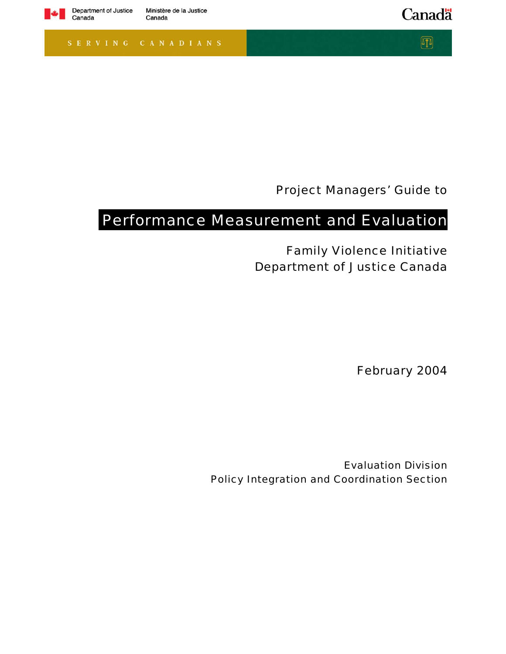

Canada

Canadä

 $\hbox{\bf \large\it\bf D}$ 

Project Managers' Guide to

# Performance Measurement and Evaluation

Family Violence Initiative Department of Justice Canada

February 2004

Evaluation Division Policy Integration and Coordination Section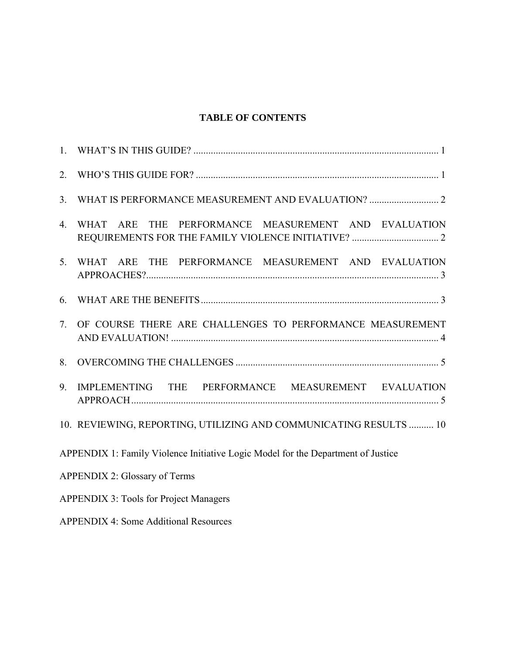# **TABLE OF CONTENTS**

| 2.               |                                                                                  |
|------------------|----------------------------------------------------------------------------------|
| 3 <sub>1</sub>   |                                                                                  |
| $\overline{4}$ . | WHAT ARE THE PERFORMANCE MEASUREMENT AND EVALUATION                              |
| 5 <sub>1</sub>   | WHAT ARE THE PERFORMANCE MEASUREMENT AND EVALUATION                              |
| 6.               |                                                                                  |
| 7.               | OF COURSE THERE ARE CHALLENGES TO PERFORMANCE MEASUREMENT                        |
| 8.               |                                                                                  |
| 9.               | IMPLEMENTING THE PERFORMANCE MEASUREMENT EVALUATION                              |
|                  | 10. REVIEWING, REPORTING, UTILIZING AND COMMUNICATING RESULTS  10                |
|                  | APPENDIX 1: Family Violence Initiative Logic Model for the Department of Justice |
|                  | <b>APPENDIX 2: Glossary of Terms</b>                                             |
|                  | <b>APPENDIX 3: Tools for Project Managers</b>                                    |
|                  | <b>APPENDIX 4: Some Additional Resources</b>                                     |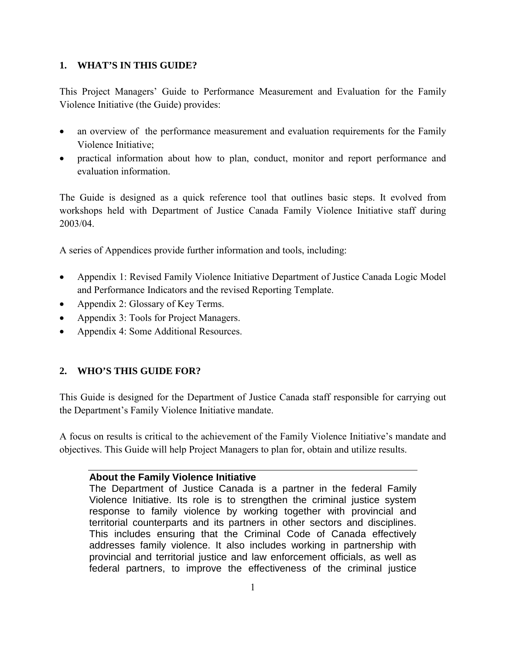# **1. WHAT'S IN THIS GUIDE?**

This Project Managers' Guide to Performance Measurement and Evaluation for the Family Violence Initiative (the Guide) provides:

- an overview of the performance measurement and evaluation requirements for the Family Violence Initiative;
- practical information about how to plan, conduct, monitor and report performance and evaluation information.

The Guide is designed as a quick reference tool that outlines basic steps. It evolved from workshops held with Department of Justice Canada Family Violence Initiative staff during 2003/04.

A series of Appendices provide further information and tools, including:

- Appendix 1: Revised Family Violence Initiative Department of Justice Canada Logic Model and Performance Indicators and the revised Reporting Template.
- Appendix 2: Glossary of Key Terms.
- Appendix 3: Tools for Project Managers.
- Appendix 4: Some Additional Resources.

# **2. WHO'S THIS GUIDE FOR?**

This Guide is designed for the Department of Justice Canada staff responsible for carrying out the Department's Family Violence Initiative mandate.

A focus on results is critical to the achievement of the Family Violence Initiative's mandate and objectives. This Guide will help Project Managers to plan for, obtain and utilize results.

### **About the Family Violence Initiative**

The Department of Justice Canada is a partner in the federal Family Violence Initiative. Its role is to strengthen the criminal justice system response to family violence by working together with provincial and territorial counterparts and its partners in other sectors and disciplines. This includes ensuring that the Criminal Code of Canada effectively addresses family violence. It also includes working in partnership with provincial and territorial justice and law enforcement officials, as well as federal partners, to improve the effectiveness of the criminal justice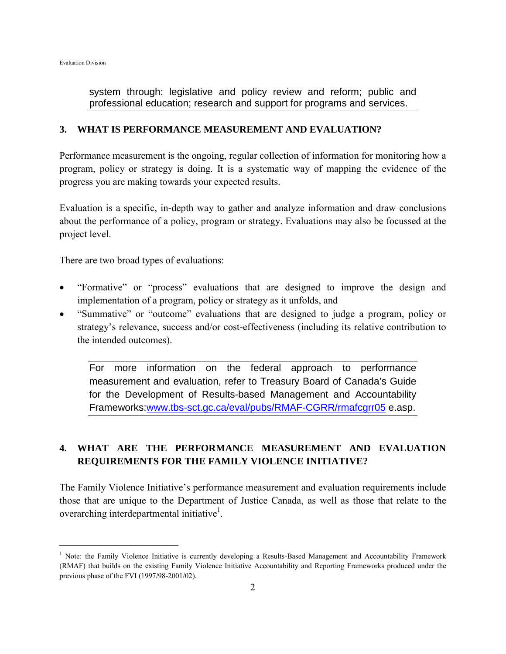$\overline{a}$ 

system through: legislative and policy review and reform; public and professional education; research and support for programs and services.

### **3. WHAT IS PERFORMANCE MEASUREMENT AND EVALUATION?**

Performance measurement is the ongoing, regular collection of information for monitoring how a program, policy or strategy is doing. It is a systematic way of mapping the evidence of the progress you are making towards your expected results.

Evaluation is a specific, in-depth way to gather and analyze information and draw conclusions about the performance of a policy, program or strategy. Evaluations may also be focussed at the project level.

There are two broad types of evaluations:

- "Formative" or "process" evaluations that are designed to improve the design and implementation of a program, policy or strategy as it unfolds, and
- "Summative" or "outcome" evaluations that are designed to judge a program, policy or strategy's relevance, success and/or cost-effectiveness (including its relative contribution to the intended outcomes).

For more information on the federal approach to performance measurement and evaluation, refer to Treasury Board of Canada's Guide for the Development of Results-based Management and Accountability Frameworks:www.tbs-sct.gc.ca/eval/pubs/RMAF-CGRR/rmafcgrr05 e.asp.

# **4. WHAT ARE THE PERFORMANCE MEASUREMENT AND EVALUATION REQUIREMENTS FOR THE FAMILY VIOLENCE INITIATIVE?**

The Family Violence Initiative's performance measurement and evaluation requirements include those that are unique to the Department of Justice Canada, as well as those that relate to the overarching interdepartmental initiative<sup>1</sup>.

<sup>&</sup>lt;sup>1</sup> Note: the Family Violence Initiative is currently developing a Results-Based Management and Accountability Framework (RMAF) that builds on the existing Family Violence Initiative Accountability and Reporting Frameworks produced under the previous phase of the FVI (1997/98-2001/02).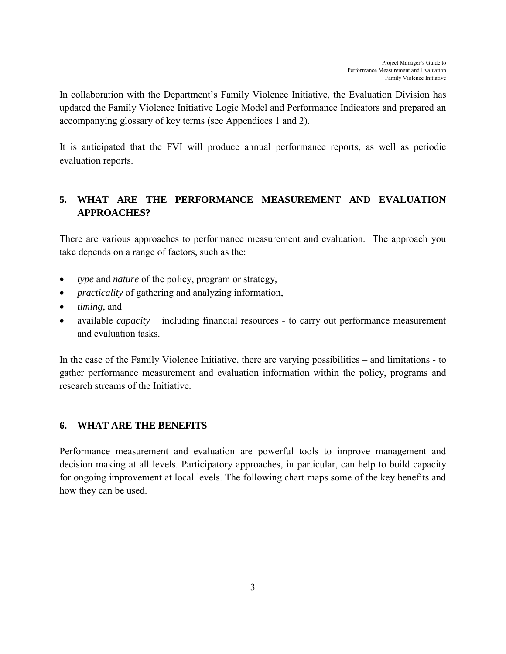In collaboration with the Department's Family Violence Initiative, the Evaluation Division has updated the Family Violence Initiative Logic Model and Performance Indicators and prepared an accompanying glossary of key terms (see Appendices 1 and 2).

It is anticipated that the FVI will produce annual performance reports, as well as periodic evaluation reports.

# **5. WHAT ARE THE PERFORMANCE MEASUREMENT AND EVALUATION APPROACHES?**

There are various approaches to performance measurement and evaluation. The approach you take depends on a range of factors, such as the:

- *type* and *nature* of the policy, program or strategy,
- *practicality* of gathering and analyzing information,
- *timing*, and
- available *capacity* including financial resources to carry out performance measurement and evaluation tasks.

In the case of the Family Violence Initiative, there are varying possibilities – and limitations - to gather performance measurement and evaluation information within the policy, programs and research streams of the Initiative.

# **6. WHAT ARE THE BENEFITS**

Performance measurement and evaluation are powerful tools to improve management and decision making at all levels. Participatory approaches, in particular, can help to build capacity for ongoing improvement at local levels. The following chart maps some of the key benefits and how they can be used.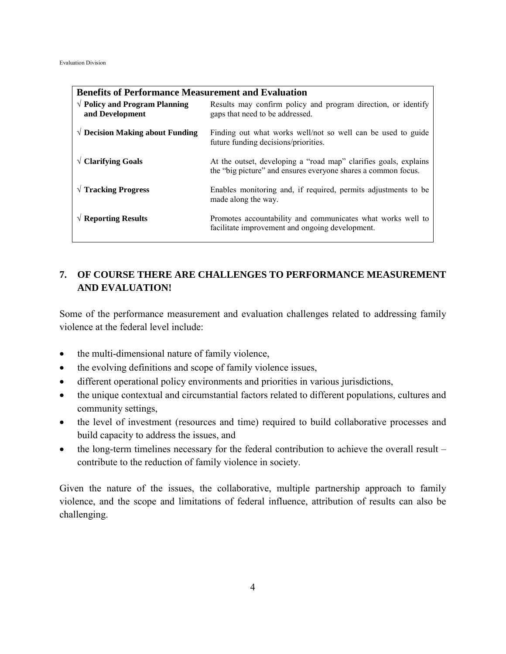| <b>Benefits of Performance Measurement and Evaluation</b>  |                                                                                                                                   |  |  |  |  |
|------------------------------------------------------------|-----------------------------------------------------------------------------------------------------------------------------------|--|--|--|--|
| $\sqrt{\ }$ Policy and Program Planning<br>and Development | Results may confirm policy and program direction, or identify<br>gaps that need to be addressed.                                  |  |  |  |  |
| $\sqrt{ }$ Decision Making about Funding                   | Finding out what works well/not so well can be used to guide<br>future funding decisions/priorities.                              |  |  |  |  |
| $\sqrt{ }$ Clarifying Goals                                | At the outset, developing a "road map" clarifies goals, explains<br>the "big picture" and ensures everyone shares a common focus. |  |  |  |  |
| $\sqrt{T}$ Tracking Progress                               | Enables monitoring and, if required, permits adjustments to be<br>made along the way.                                             |  |  |  |  |
| $\sqrt{ }$ Reporting Results                               | Promotes accountability and communicates what works well to<br>facilitate improvement and ongoing development.                    |  |  |  |  |

# **7. OF COURSE THERE ARE CHALLENGES TO PERFORMANCE MEASUREMENT AND EVALUATION!**

Some of the performance measurement and evaluation challenges related to addressing family violence at the federal level include:

- the multi-dimensional nature of family violence,
- the evolving definitions and scope of family violence issues,
- different operational policy environments and priorities in various jurisdictions,
- the unique contextual and circumstantial factors related to different populations, cultures and community settings,
- the level of investment (resources and time) required to build collaborative processes and build capacity to address the issues, and
- the long-term timelines necessary for the federal contribution to achieve the overall result contribute to the reduction of family violence in society.

Given the nature of the issues, the collaborative, multiple partnership approach to family violence, and the scope and limitations of federal influence, attribution of results can also be challenging.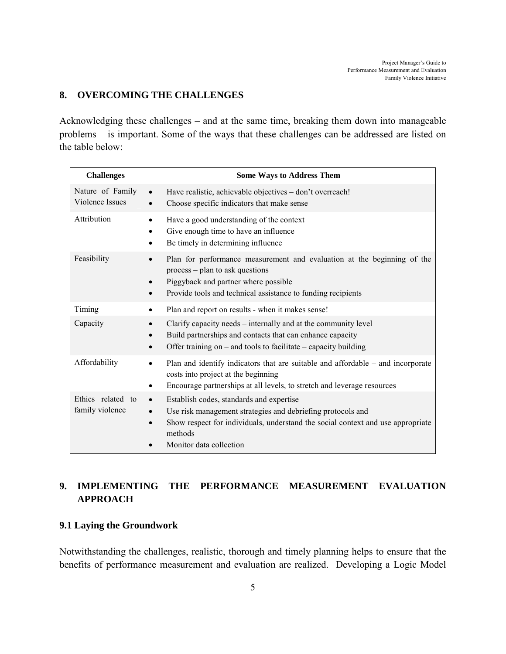# **8. OVERCOMING THE CHALLENGES**

Acknowledging these challenges – and at the same time, breaking them down into manageable problems – is important. Some of the ways that these challenges can be addressed are listed on the table below:

| <b>Challenges</b>                    | <b>Some Ways to Address Them</b>                                                                                                                                                                                                              |
|--------------------------------------|-----------------------------------------------------------------------------------------------------------------------------------------------------------------------------------------------------------------------------------------------|
| Nature of Family<br>Violence Issues  | Have realistic, achievable objectives - don't overreach!<br>$\bullet$<br>Choose specific indicators that make sense<br>$\bullet$                                                                                                              |
| Attribution                          | Have a good understanding of the context<br>Give enough time to have an influence<br>Be timely in determining influence                                                                                                                       |
| Feasibility                          | Plan for performance measurement and evaluation at the beginning of the<br>$\bullet$<br>process - plan to ask questions<br>Piggyback and partner where possible<br>Provide tools and technical assistance to funding recipients               |
| Timing                               | Plan and report on results - when it makes sense!                                                                                                                                                                                             |
| Capacity                             | Clarify capacity needs – internally and at the community level<br>Build partnerships and contacts that can enhance capacity<br>Offer training on $-$ and tools to facilitate $-$ capacity building                                            |
| Affordability                        | Plan and identify indicators that are suitable and affordable $-$ and incorporate<br>$\bullet$<br>costs into project at the beginning<br>Encourage partnerships at all levels, to stretch and leverage resources                              |
| Ethics related to<br>family violence | Establish codes, standards and expertise<br>$\bullet$<br>Use risk management strategies and debriefing protocols and<br>Show respect for individuals, understand the social context and use appropriate<br>methods<br>Monitor data collection |

# **9. IMPLEMENTING THE PERFORMANCE MEASUREMENT EVALUATION APPROACH**

### **9.1 Laying the Groundwork**

Notwithstanding the challenges, realistic, thorough and timely planning helps to ensure that the benefits of performance measurement and evaluation are realized. Developing a Logic Model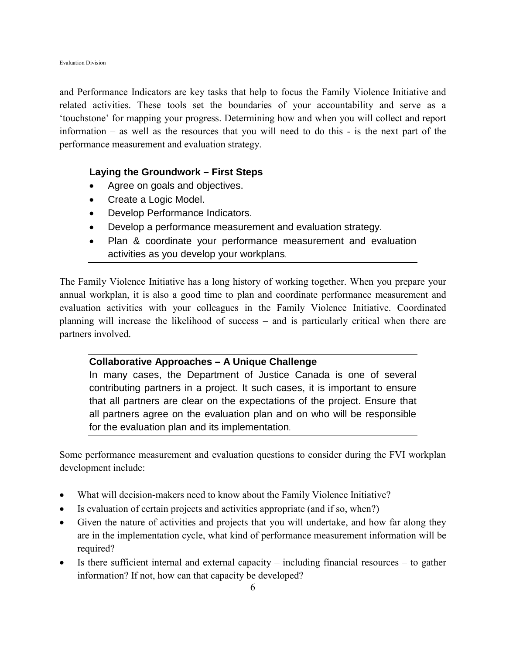and Performance Indicators are key tasks that help to focus the Family Violence Initiative and related activities. These tools set the boundaries of your accountability and serve as a 'touchstone' for mapping your progress. Determining how and when you will collect and report information – as well as the resources that you will need to do this - is the next part of the performance measurement and evaluation strategy.

# **Laying the Groundwork – First Steps**

- Agree on goals and objectives.
- Create a Logic Model.
- Develop Performance Indicators.
- Develop a performance measurement and evaluation strategy.
- Plan & coordinate your performance measurement and evaluation activities as you develop your workplans.

The Family Violence Initiative has a long history of working together. When you prepare your annual workplan, it is also a good time to plan and coordinate performance measurement and evaluation activities with your colleagues in the Family Violence Initiative. Coordinated planning will increase the likelihood of success – and is particularly critical when there are partners involved.

# **Collaborative Approaches – A Unique Challenge**

In many cases, the Department of Justice Canada is one of several contributing partners in a project. It such cases, it is important to ensure that all partners are clear on the expectations of the project. Ensure that all partners agree on the evaluation plan and on who will be responsible for the evaluation plan and its implementation.

Some performance measurement and evaluation questions to consider during the FVI workplan development include:

- What will decision-makers need to know about the Family Violence Initiative?
- Is evaluation of certain projects and activities appropriate (and if so, when?)
- Given the nature of activities and projects that you will undertake, and how far along they are in the implementation cycle, what kind of performance measurement information will be required?
- Is there sufficient internal and external capacity including financial resources to gather information? If not, how can that capacity be developed?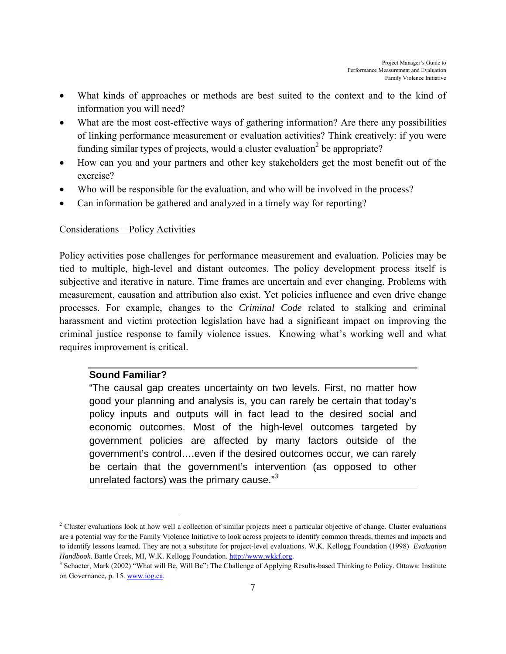- What kinds of approaches or methods are best suited to the context and to the kind of information you will need?
- What are the most cost-effective ways of gathering information? Are there any possibilities of linking performance measurement or evaluation activities? Think creatively: if you were funding similar types of projects, would a cluster evaluation<sup>2</sup> be appropriate?
- How can you and your partners and other key stakeholders get the most benefit out of the exercise?
- Who will be responsible for the evaluation, and who will be involved in the process?
- Can information be gathered and analyzed in a timely way for reporting?

### Considerations – Policy Activities

Policy activities pose challenges for performance measurement and evaluation. Policies may be tied to multiple, high-level and distant outcomes. The policy development process itself is subjective and iterative in nature. Time frames are uncertain and ever changing. Problems with measurement, causation and attribution also exist. Yet policies influence and even drive change processes. For example, changes to the *Criminal Code* related to stalking and criminal harassment and victim protection legislation have had a significant impact on improving the criminal justice response to family violence issues. Knowing what's working well and what requires improvement is critical.

# **Sound Familiar?**

 $\overline{a}$ 

"The causal gap creates uncertainty on two levels. First, no matter how good your planning and analysis is, you can rarely be certain that today's policy inputs and outputs will in fact lead to the desired social and economic outcomes. Most of the high-level outcomes targeted by government policies are affected by many factors outside of the government's control….even if the desired outcomes occur, we can rarely be certain that the government's intervention (as opposed to other unrelated factors) was the primary cause."<sup>3</sup>

<sup>&</sup>lt;sup>2</sup> Cluster evaluations look at how well a collection of similar projects meet a particular objective of change. Cluster evaluations are a potential way for the Family Violence Initiative to look across projects to identify common threads, themes and impacts and to identify lessons learned. They are not a substitute for project-level evaluations. W.K. Kellogg Foundation (1998) *Evaluation Handbook*. Battle Creek, MI, W.K. Kellogg Foundation. http://www.wkkf.org. 3

<sup>&</sup>lt;sup>3</sup> Schacter, Mark (2002) "What will Be, Will Be": The Challenge of Applying Results-based Thinking to Policy. Ottawa: Institute on Governance, p. 15. www.iog.ca.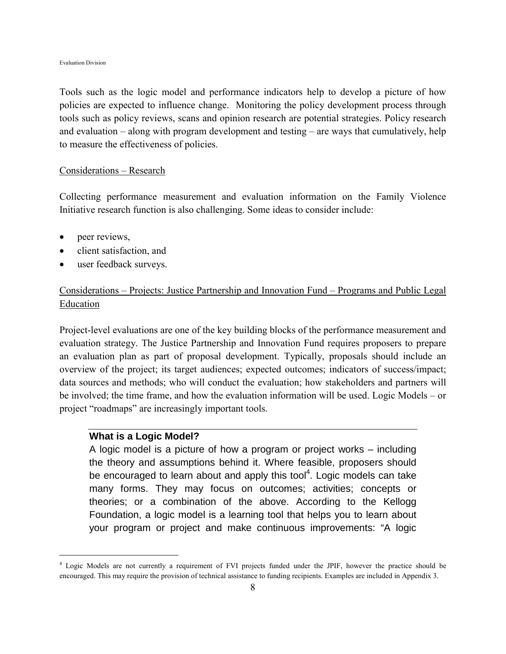#### Evaluation Division

Tools such as the logic model and performance indicators help to develop a picture of how policies are expected to influence change. Monitoring the policy development process through tools such as policy reviews, scans and opinion research are potential strategies. Policy research and evaluation – along with program development and testing – are ways that cumulatively, help to measure the effectiveness of policies.

#### Considerations – Research

Collecting performance measurement and evaluation information on the Family Violence Initiative research function is also challenging. Some ideas to consider include:

• peer reviews,

 $\overline{a}$ 

- client satisfaction, and
- user feedback surveys.

# Considerations – Projects: Justice Partnership and Innovation Fund – Programs and Public Legal Education

Project-level evaluations are one of the key building blocks of the performance measurement and evaluation strategy. The Justice Partnership and Innovation Fund requires proposers to prepare an evaluation plan as part of proposal development. Typically, proposals should include an overview of the project; its target audiences; expected outcomes; indicators of success/impact; data sources and methods; who will conduct the evaluation; how stakeholders and partners will be involved; the time frame, and how the evaluation information will be used. Logic Models – or project "roadmaps" are increasingly important tools.

### **What is a Logic Model?**

A logic model is a picture of how a program or project works – including the theory and assumptions behind it. Where feasible, proposers should be encouraged to learn about and apply this tool<sup>4</sup>. Logic models can take many forms. They may focus on outcomes; activities; concepts or theories; or a combination of the above. According to the Kellogg Foundation, a logic model is a learning tool that helps you to learn about your program or project and make continuous improvements: "A logic

<sup>4</sup> Logic Models are not currently a requirement of FVI projects funded under the JPIF, however the practice should be encouraged. This may require the provision of technical assistance to funding recipients. Examples are included in Appendix 3.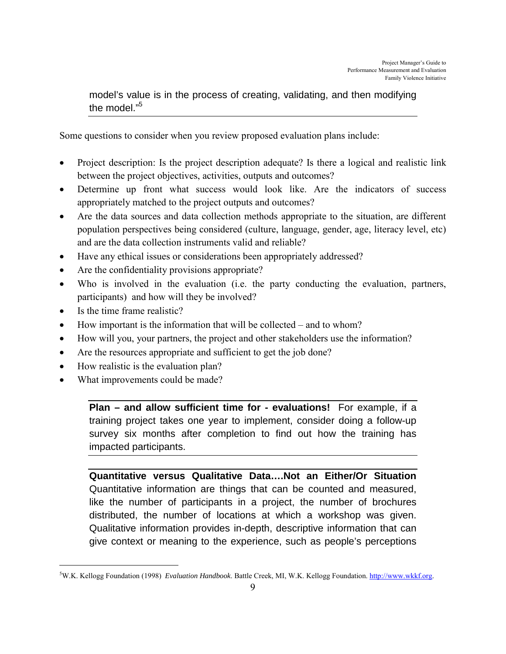model's value is in the process of creating, validating, and then modifying the model."5

Some questions to consider when you review proposed evaluation plans include:

- Project description: Is the project description adequate? Is there a logical and realistic link between the project objectives, activities, outputs and outcomes?
- Determine up front what success would look like. Are the indicators of success appropriately matched to the project outputs and outcomes?
- Are the data sources and data collection methods appropriate to the situation, are different population perspectives being considered (culture, language, gender, age, literacy level, etc) and are the data collection instruments valid and reliable?
- Have any ethical issues or considerations been appropriately addressed?
- Are the confidentiality provisions appropriate?
- Who is involved in the evaluation (i.e. the party conducting the evaluation, partners, participants) and how will they be involved?
- Is the time frame realistic?

 $\overline{a}$ 

- How important is the information that will be collected and to whom?
- How will you, your partners, the project and other stakeholders use the information?
- Are the resources appropriate and sufficient to get the job done?
- How realistic is the evaluation plan?
- What improvements could be made?

**Plan – and allow sufficient time for - evaluations!** For example, if a training project takes one year to implement, consider doing a follow-up survey six months after completion to find out how the training has impacted participants.

**Quantitative versus Qualitative Data….Not an Either/Or Situation** Quantitative information are things that can be counted and measured, like the number of participants in a project, the number of brochures distributed, the number of locations at which a workshop was given. Qualitative information provides in-depth, descriptive information that can give context or meaning to the experience, such as people's perceptions

<sup>5</sup> W.K. Kellogg Foundation (1998) *Evaluation Handbook*. Battle Creek, MI, W.K. Kellogg Foundation. http://www.wkkf.org.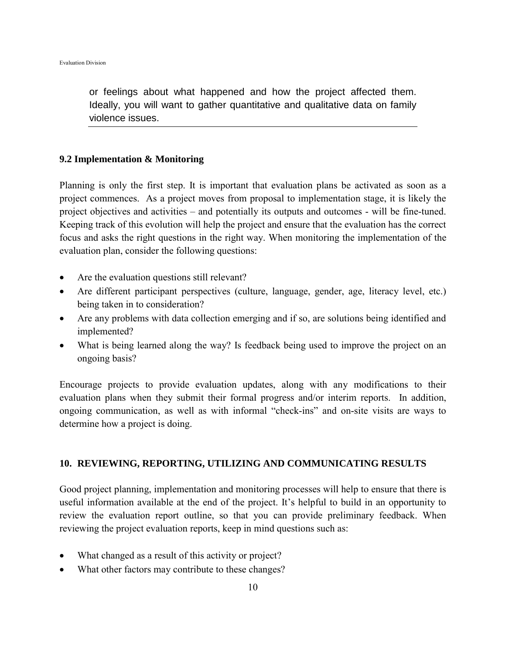or feelings about what happened and how the project affected them. Ideally, you will want to gather quantitative and qualitative data on family violence issues.

### **9.2 Implementation & Monitoring**

Planning is only the first step. It is important that evaluation plans be activated as soon as a project commences. As a project moves from proposal to implementation stage, it is likely the project objectives and activities – and potentially its outputs and outcomes - will be fine-tuned. Keeping track of this evolution will help the project and ensure that the evaluation has the correct focus and asks the right questions in the right way. When monitoring the implementation of the evaluation plan, consider the following questions:

- Are the evaluation questions still relevant?
- Are different participant perspectives (culture, language, gender, age, literacy level, etc.) being taken in to consideration?
- Are any problems with data collection emerging and if so, are solutions being identified and implemented?
- What is being learned along the way? Is feedback being used to improve the project on an ongoing basis?

Encourage projects to provide evaluation updates, along with any modifications to their evaluation plans when they submit their formal progress and/or interim reports. In addition, ongoing communication, as well as with informal "check-ins" and on-site visits are ways to determine how a project is doing.

### **10. REVIEWING, REPORTING, UTILIZING AND COMMUNICATING RESULTS**

Good project planning, implementation and monitoring processes will help to ensure that there is useful information available at the end of the project. It's helpful to build in an opportunity to review the evaluation report outline, so that you can provide preliminary feedback. When reviewing the project evaluation reports, keep in mind questions such as:

- What changed as a result of this activity or project?
- What other factors may contribute to these changes?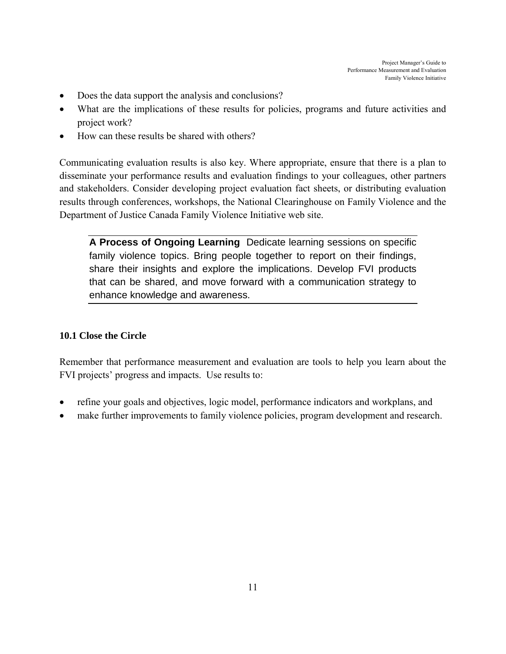- Does the data support the analysis and conclusions?
- What are the implications of these results for policies, programs and future activities and project work?
- How can these results be shared with others?

Communicating evaluation results is also key. Where appropriate, ensure that there is a plan to disseminate your performance results and evaluation findings to your colleagues, other partners and stakeholders. Consider developing project evaluation fact sheets, or distributing evaluation results through conferences, workshops, the National Clearinghouse on Family Violence and the Department of Justice Canada Family Violence Initiative web site.

**A Process of Ongoing Learning** Dedicate learning sessions on specific family violence topics. Bring people together to report on their findings, share their insights and explore the implications. Develop FVI products that can be shared, and move forward with a communication strategy to enhance knowledge and awareness.

# **10.1 Close the Circle**

Remember that performance measurement and evaluation are tools to help you learn about the FVI projects' progress and impacts. Use results to:

- refine your goals and objectives, logic model, performance indicators and workplans, and
- make further improvements to family violence policies, program development and research.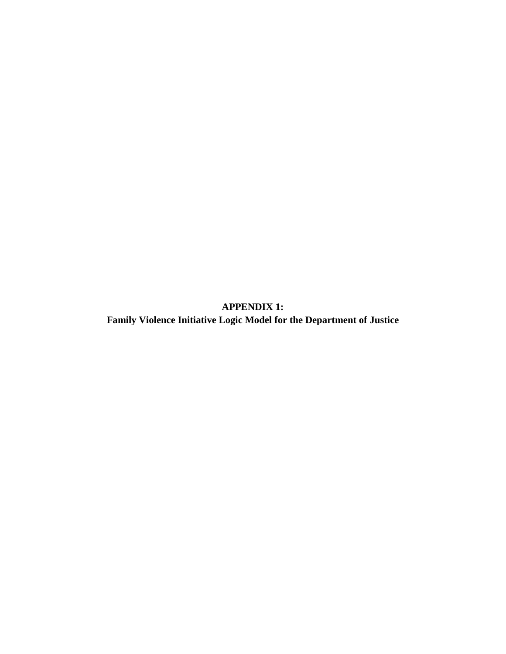**APPENDIX 1: Family Violence Initiative Logic Model for the Department of Justice**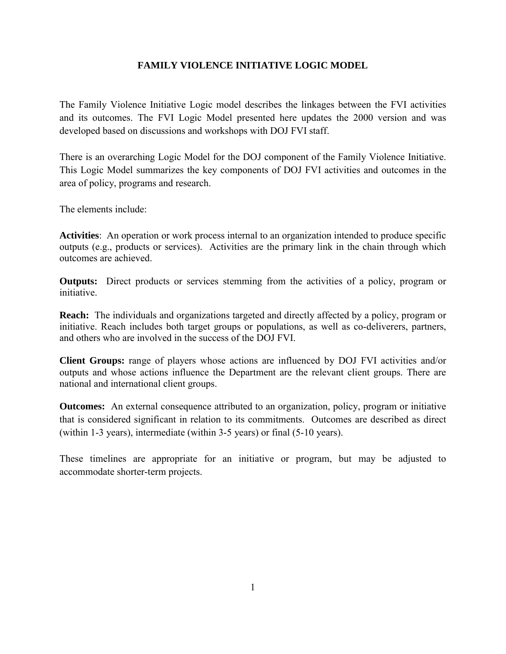### **FAMILY VIOLENCE INITIATIVE LOGIC MODEL**

The Family Violence Initiative Logic model describes the linkages between the FVI activities and its outcomes. The FVI Logic Model presented here updates the 2000 version and was developed based on discussions and workshops with DOJ FVI staff.

There is an overarching Logic Model for the DOJ component of the Family Violence Initiative. This Logic Model summarizes the key components of DOJ FVI activities and outcomes in the area of policy, programs and research.

The elements include:

**Activities**: An operation or work process internal to an organization intended to produce specific outputs (e.g., products or services). Activities are the primary link in the chain through which outcomes are achieved.

**Outputs:** Direct products or services stemming from the activities of a policy, program or initiative.

**Reach:** The individuals and organizations targeted and directly affected by a policy, program or initiative. Reach includes both target groups or populations, as well as co-deliverers, partners, and others who are involved in the success of the DOJ FVI.

**Client Groups:** range of players whose actions are influenced by DOJ FVI activities and/or outputs and whose actions influence the Department are the relevant client groups. There are national and international client groups.

**Outcomes:** An external consequence attributed to an organization, policy, program or initiative that is considered significant in relation to its commitments. Outcomes are described as direct (within 1-3 years), intermediate (within 3-5 years) or final (5-10 years).

These timelines are appropriate for an initiative or program, but may be adjusted to accommodate shorter-term projects.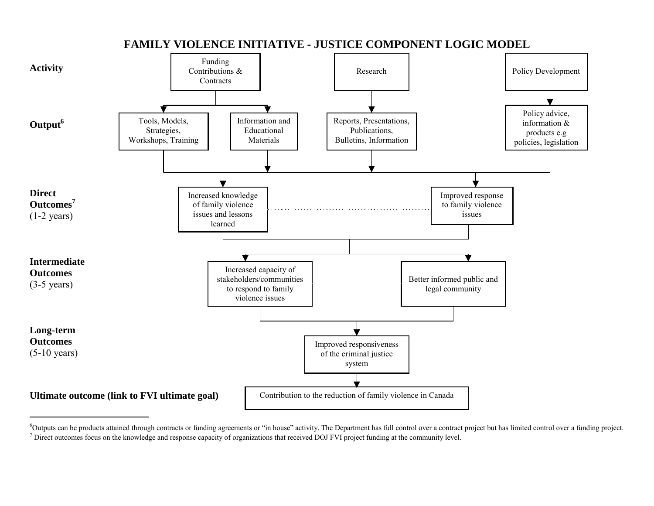

**FAMILY VIOLENCE INITIATIVE - JUSTICE COMPONENT LOGIC MODEL**

<sup>&</sup>lt;sup>6</sup>Outputs can be products attained through contracts or funding agreements or "in house" activity. The Department has full control over a contract project but has limited control over a funding project.  $<sup>7</sup>$  Direct outcomes focus on the knowledge and response capacity of organizations that received DOJ FVI project funding at the community level.</sup>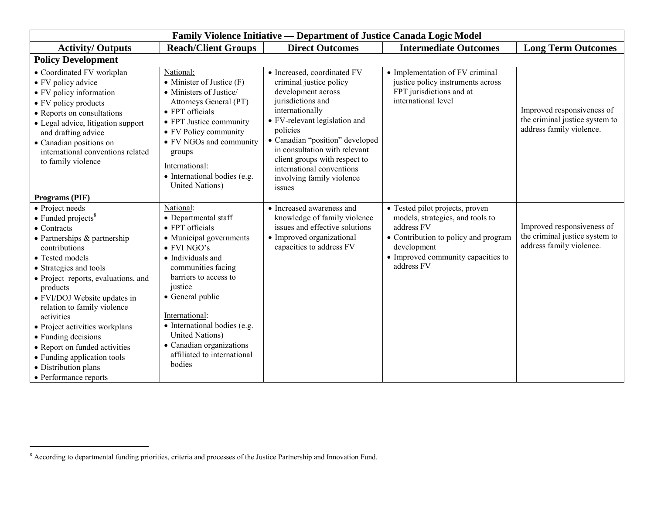| Family Violence Initiative — Department of Justice Canada Logic Model                                                                                                                                                                                                                                                                                                                                                                                                                    |                                                                                                                                                                                                                                                                                                                                                             |                                                                                                                                                                                                                                                                                                                                            |                                                                                                                                                                                              |                                                                                          |  |
|------------------------------------------------------------------------------------------------------------------------------------------------------------------------------------------------------------------------------------------------------------------------------------------------------------------------------------------------------------------------------------------------------------------------------------------------------------------------------------------|-------------------------------------------------------------------------------------------------------------------------------------------------------------------------------------------------------------------------------------------------------------------------------------------------------------------------------------------------------------|--------------------------------------------------------------------------------------------------------------------------------------------------------------------------------------------------------------------------------------------------------------------------------------------------------------------------------------------|----------------------------------------------------------------------------------------------------------------------------------------------------------------------------------------------|------------------------------------------------------------------------------------------|--|
| <b>Activity/Outputs</b>                                                                                                                                                                                                                                                                                                                                                                                                                                                                  | <b>Reach/Client Groups</b>                                                                                                                                                                                                                                                                                                                                  | <b>Direct Outcomes</b>                                                                                                                                                                                                                                                                                                                     | <b>Intermediate Outcomes</b>                                                                                                                                                                 | <b>Long Term Outcomes</b>                                                                |  |
| <b>Policy Development</b>                                                                                                                                                                                                                                                                                                                                                                                                                                                                |                                                                                                                                                                                                                                                                                                                                                             |                                                                                                                                                                                                                                                                                                                                            |                                                                                                                                                                                              |                                                                                          |  |
| • Coordinated FV workplan<br>• FV policy advice<br>• FV policy information<br>• FV policy products<br>• Reports on consultations<br>• Legal advice, litigation support<br>and drafting advice<br>• Canadian positions on<br>international conventions related<br>to family violence                                                                                                                                                                                                      | National:<br>• Minister of Justice $(F)$<br>• Ministers of Justice/<br>Attorneys General (PT)<br>• FPT officials<br>• FPT Justice community<br>• FV Policy community<br>• FV NGOs and community<br>groups<br>International:<br>• International bodies (e.g.<br><b>United Nations</b> )                                                                      | • Increased, coordinated FV<br>criminal justice policy<br>development across<br>jurisdictions and<br>internationally<br>• FV-relevant legislation and<br>policies<br>• Canadian "position" developed<br>in consultation with relevant<br>client groups with respect to<br>international conventions<br>involving family violence<br>issues | • Implementation of FV criminal<br>justice policy instruments across<br>FPT jurisdictions and at<br>international level                                                                      | Improved responsiveness of<br>the criminal justice system to<br>address family violence. |  |
| Programs (PIF)                                                                                                                                                                                                                                                                                                                                                                                                                                                                           |                                                                                                                                                                                                                                                                                                                                                             |                                                                                                                                                                                                                                                                                                                                            |                                                                                                                                                                                              |                                                                                          |  |
| • Project needs<br>$\bullet$ Funded projects <sup>8</sup><br>• Contracts<br>$\bullet$ Partnerships & partnership<br>contributions<br>• Tested models<br>• Strategies and tools<br>• Project reports, evaluations, and<br>products<br>• FVI/DOJ Website updates in<br>relation to family violence<br>activities<br>• Project activities workplans<br>• Funding decisions<br>• Report on funded activities<br>• Funding application tools<br>• Distribution plans<br>• Performance reports | National:<br>• Departmental staff<br>• FPT officials<br>• Municipal governments<br>$\bullet$ FVI NGO's<br>• Individuals and<br>communities facing<br>barriers to access to<br>justice<br>• General public<br>International:<br>• International bodies (e.g.<br><b>United Nations</b> )<br>• Canadian organizations<br>affiliated to international<br>bodies | • Increased awareness and<br>knowledge of family violence<br>issues and effective solutions<br>• Improved organizational<br>capacities to address FV                                                                                                                                                                                       | • Tested pilot projects, proven<br>models, strategies, and tools to<br>address FV<br>• Contribution to policy and program<br>development<br>• Improved community capacities to<br>address FV | Improved responsiveness of<br>the criminal justice system to<br>address family violence. |  |

<sup>8</sup> According to departmental funding priorities, criteria and processes of the Justice Partnership and Innovation Fund.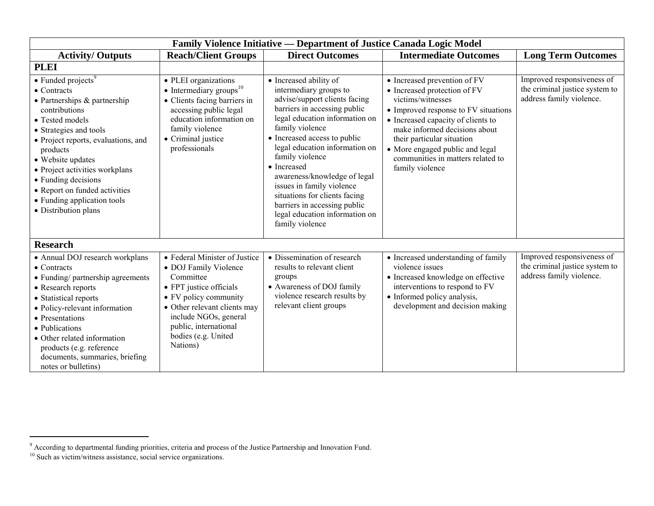|                                                                                                                                                                                                                                                                                                                                                                              | <b>Family Violence Initiative — Department of Justice Canada Logic Model</b>                                                                                                                                                                 |                                                                                                                                                                                                                                                                                                                                                                                                                                                               |                                                                                                                                                                                                                                                                                                                           |                                                                                          |  |  |  |  |
|------------------------------------------------------------------------------------------------------------------------------------------------------------------------------------------------------------------------------------------------------------------------------------------------------------------------------------------------------------------------------|----------------------------------------------------------------------------------------------------------------------------------------------------------------------------------------------------------------------------------------------|---------------------------------------------------------------------------------------------------------------------------------------------------------------------------------------------------------------------------------------------------------------------------------------------------------------------------------------------------------------------------------------------------------------------------------------------------------------|---------------------------------------------------------------------------------------------------------------------------------------------------------------------------------------------------------------------------------------------------------------------------------------------------------------------------|------------------------------------------------------------------------------------------|--|--|--|--|
| <b>Activity/Outputs</b>                                                                                                                                                                                                                                                                                                                                                      | <b>Reach/Client Groups</b>                                                                                                                                                                                                                   | <b>Direct Outcomes</b>                                                                                                                                                                                                                                                                                                                                                                                                                                        | <b>Intermediate Outcomes</b>                                                                                                                                                                                                                                                                                              | <b>Long Term Outcomes</b>                                                                |  |  |  |  |
| <b>PLEI</b>                                                                                                                                                                                                                                                                                                                                                                  |                                                                                                                                                                                                                                              |                                                                                                                                                                                                                                                                                                                                                                                                                                                               |                                                                                                                                                                                                                                                                                                                           |                                                                                          |  |  |  |  |
| $\bullet$ Funded projects <sup>9</sup><br>• Contracts<br>• Partnerships & partnership<br>contributions<br>• Tested models<br>• Strategies and tools<br>• Project reports, evaluations, and<br>products<br>• Website updates<br>• Project activities workplans<br>• Funding decisions<br>• Report on funded activities<br>• Funding application tools<br>• Distribution plans | • PLEI organizations<br>• Intermediary groups $10$<br>• Clients facing barriers in<br>accessing public legal<br>education information on<br>family violence<br>• Criminal justice<br>professionals                                           | • Increased ability of<br>intermediary groups to<br>advise/support clients facing<br>barriers in accessing public<br>legal education information on<br>family violence<br>• Increased access to public<br>legal education information on<br>family violence<br>• Increased<br>awareness/knowledge of legal<br>issues in family violence<br>situations for clients facing<br>barriers in accessing public<br>legal education information on<br>family violence | • Increased prevention of FV<br>• Increased protection of FV<br>victims/witnesses<br>• Improved response to FV situations<br>• Increased capacity of clients to<br>make informed decisions about<br>their particular situation<br>• More engaged public and legal<br>communities in matters related to<br>family violence | Improved responsiveness of<br>the criminal justice system to<br>address family violence. |  |  |  |  |
| <b>Research</b>                                                                                                                                                                                                                                                                                                                                                              |                                                                                                                                                                                                                                              |                                                                                                                                                                                                                                                                                                                                                                                                                                                               |                                                                                                                                                                                                                                                                                                                           |                                                                                          |  |  |  |  |
| • Annual DOJ research workplans<br>$\bullet$ Contracts<br>• Funding/ partnership agreements<br>• Research reports<br>• Statistical reports<br>• Policy-relevant information<br>• Presentations<br>• Publications<br>• Other related information<br>products (e.g. reference<br>documents, summaries, briefing<br>notes or bulletins)                                         | • Federal Minister of Justice<br>• DOJ Family Violence<br>Committee<br>• FPT justice officials<br>• FV policy community<br>• Other relevant clients may<br>include NGOs, general<br>public, international<br>bodies (e.g. United<br>Nations) | • Dissemination of research<br>results to relevant client<br>groups<br>• Awareness of DOJ family<br>violence research results by<br>relevant client groups                                                                                                                                                                                                                                                                                                    | • Increased understanding of family<br>violence issues<br>· Increased knowledge on effective<br>interventions to respond to FV<br>• Informed policy analysis,<br>development and decision making                                                                                                                          | Improved responsiveness of<br>the criminal justice system to<br>address family violence. |  |  |  |  |

<sup>9</sup> According to departmental funding priorities, criteria and process of the Justice Partnership and Innovation Fund.

 $10$  Such as victim/witness assistance, social service organizations.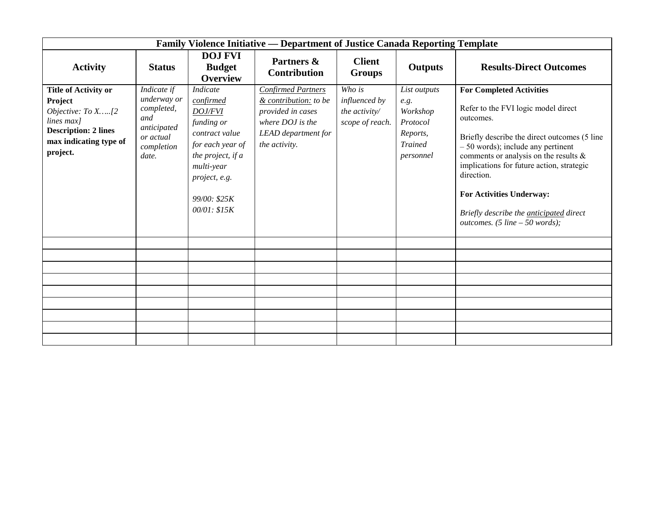|                                                                                                                                                       | <b>Family Violence Initiative — Department of Justice Canada Reporting Template</b>                |                                                                                                                                                                                 |                                                                                                                                     |                                                             |                                                                                         |                                                                                                                                                                                                                                                                                                                                                                                                           |
|-------------------------------------------------------------------------------------------------------------------------------------------------------|----------------------------------------------------------------------------------------------------|---------------------------------------------------------------------------------------------------------------------------------------------------------------------------------|-------------------------------------------------------------------------------------------------------------------------------------|-------------------------------------------------------------|-----------------------------------------------------------------------------------------|-----------------------------------------------------------------------------------------------------------------------------------------------------------------------------------------------------------------------------------------------------------------------------------------------------------------------------------------------------------------------------------------------------------|
| <b>Activity</b>                                                                                                                                       | <b>Status</b>                                                                                      | <b>DOJ FVI</b><br><b>Budget</b><br><b>Overview</b>                                                                                                                              | Partners &<br><b>Contribution</b>                                                                                                   | <b>Client</b><br><b>Groups</b>                              | <b>Outputs</b>                                                                          | <b>Results-Direct Outcomes</b>                                                                                                                                                                                                                                                                                                                                                                            |
| <b>Title of Activity or</b><br><b>Project</b><br>Objective: To X[2<br>lines max]<br><b>Description: 2 lines</b><br>max indicating type of<br>project. | Indicate if<br>underway or<br>completed,<br>and<br>anticipated<br>or actual<br>completion<br>date. | Indicate<br>confirmed<br><b>DOJ/FVI</b><br>funding or<br>contract value<br>for each year of<br>the project, if a<br>multi-year<br>project, e.g.<br>99/00: \$25K<br>00/01: \$15K | <b>Confirmed Partners</b><br>& contribution: to be<br>provided in cases<br>where DOJ is the<br>LEAD department for<br>the activity. | Who is<br>influenced by<br>the activity/<br>scope of reach. | List outputs<br>e.g.<br>Workshop<br>Protocol<br>Reports,<br><b>Trained</b><br>personnel | <b>For Completed Activities</b><br>Refer to the FVI logic model direct<br>outcomes.<br>Briefly describe the direct outcomes (5 line<br>$-50$ words); include any pertinent<br>comments or analysis on the results $\&$<br>implications for future action, strategic<br>direction.<br><b>For Activities Underway:</b><br>Briefly describe the <i>anticipated</i> direct<br>outcomes. (5 line $-50$ words); |
|                                                                                                                                                       |                                                                                                    |                                                                                                                                                                                 |                                                                                                                                     |                                                             |                                                                                         |                                                                                                                                                                                                                                                                                                                                                                                                           |
|                                                                                                                                                       |                                                                                                    |                                                                                                                                                                                 |                                                                                                                                     |                                                             |                                                                                         |                                                                                                                                                                                                                                                                                                                                                                                                           |
|                                                                                                                                                       |                                                                                                    |                                                                                                                                                                                 |                                                                                                                                     |                                                             |                                                                                         |                                                                                                                                                                                                                                                                                                                                                                                                           |
|                                                                                                                                                       |                                                                                                    |                                                                                                                                                                                 |                                                                                                                                     |                                                             |                                                                                         |                                                                                                                                                                                                                                                                                                                                                                                                           |
|                                                                                                                                                       |                                                                                                    |                                                                                                                                                                                 |                                                                                                                                     |                                                             |                                                                                         |                                                                                                                                                                                                                                                                                                                                                                                                           |
|                                                                                                                                                       |                                                                                                    |                                                                                                                                                                                 |                                                                                                                                     |                                                             |                                                                                         |                                                                                                                                                                                                                                                                                                                                                                                                           |
|                                                                                                                                                       |                                                                                                    |                                                                                                                                                                                 |                                                                                                                                     |                                                             |                                                                                         |                                                                                                                                                                                                                                                                                                                                                                                                           |
|                                                                                                                                                       |                                                                                                    |                                                                                                                                                                                 |                                                                                                                                     |                                                             |                                                                                         |                                                                                                                                                                                                                                                                                                                                                                                                           |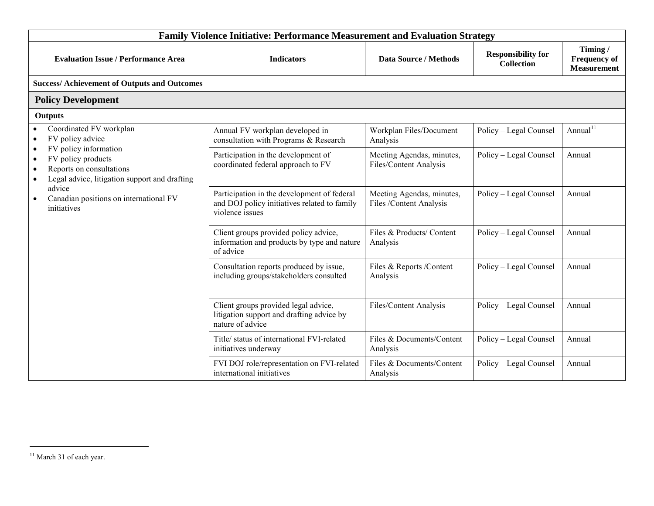| <b>Family Violence Initiative: Performance Measurement and Evaluation Strategy</b>                                                                                           |                                                                                                                |                                                      |                                                |                                                      |  |
|------------------------------------------------------------------------------------------------------------------------------------------------------------------------------|----------------------------------------------------------------------------------------------------------------|------------------------------------------------------|------------------------------------------------|------------------------------------------------------|--|
| <b>Evaluation Issue / Performance Area</b>                                                                                                                                   | <b>Indicators</b>                                                                                              | <b>Data Source / Methods</b>                         | <b>Responsibility for</b><br><b>Collection</b> | Timing/<br><b>Frequency of</b><br><b>Measurement</b> |  |
| <b>Success/Achievement of Outputs and Outcomes</b>                                                                                                                           |                                                                                                                |                                                      |                                                |                                                      |  |
| <b>Policy Development</b>                                                                                                                                                    |                                                                                                                |                                                      |                                                |                                                      |  |
| <b>Outputs</b>                                                                                                                                                               |                                                                                                                |                                                      |                                                |                                                      |  |
| Coordinated FV workplan<br>FV policy advice<br>$\bullet$                                                                                                                     | Annual FV workplan developed in<br>consultation with Programs & Research                                       | Workplan Files/Document<br>Analysis                  | Policy - Legal Counsel                         | Annual <sup>11</sup>                                 |  |
| FV policy information<br>$\bullet$<br>FV policy products<br>$\bullet$<br>Reports on consultations<br>$\bullet$<br>Legal advice, litigation support and drafting<br>$\bullet$ | Participation in the development of<br>coordinated federal approach to FV                                      | Meeting Agendas, minutes,<br>Files/Content Analysis  | Policy - Legal Counsel                         | Annual                                               |  |
| advice<br>Canadian positions on international FV<br>initiatives                                                                                                              | Participation in the development of federal<br>and DOJ policy initiatives related to family<br>violence issues | Meeting Agendas, minutes,<br>Files /Content Analysis | Policy - Legal Counsel                         | Annual                                               |  |
|                                                                                                                                                                              | Client groups provided policy advice,<br>information and products by type and nature<br>of advice              | Files & Products/ Content<br>Analysis                | Policy - Legal Counsel                         | Annual                                               |  |
|                                                                                                                                                                              | Consultation reports produced by issue,<br>including groups/stakeholders consulted                             | Files & Reports /Content<br>Analysis                 | Policy - Legal Counsel                         | Annual                                               |  |
|                                                                                                                                                                              | Client groups provided legal advice,<br>litigation support and drafting advice by<br>nature of advice          | Files/Content Analysis                               | Policy - Legal Counsel                         | Annual                                               |  |
|                                                                                                                                                                              | Title/ status of international FVI-related<br>initiatives underway                                             | Files & Documents/Content<br>Analysis                | Policy - Legal Counsel                         | Annual                                               |  |
|                                                                                                                                                                              | FVI DOJ role/representation on FVI-related<br>international initiatives                                        | Files & Documents/Content<br>Analysis                | Policy - Legal Counsel                         | Annual                                               |  |

 $11$  March 31 of each year.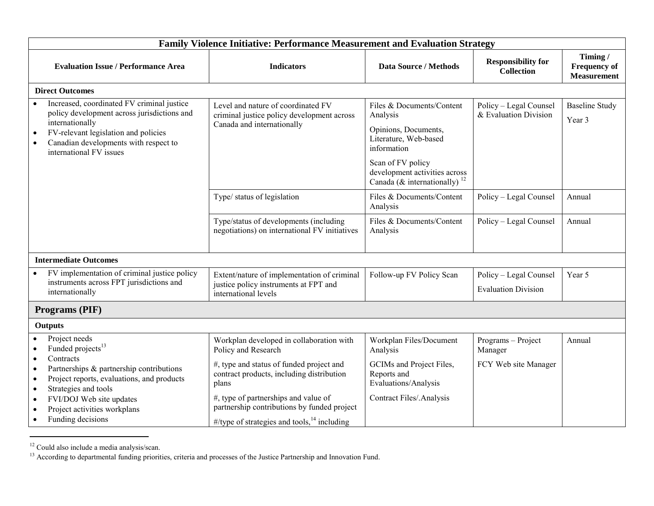|                                                                                                                                                                                                                                                                                                                                                           | <b>Family Violence Initiative: Performance Measurement and Evaluation Strategy</b>                                                                                                                                                                                                                         |                                                                                                                                                                                                         |                                                       |                                                      |  |  |  |
|-----------------------------------------------------------------------------------------------------------------------------------------------------------------------------------------------------------------------------------------------------------------------------------------------------------------------------------------------------------|------------------------------------------------------------------------------------------------------------------------------------------------------------------------------------------------------------------------------------------------------------------------------------------------------------|---------------------------------------------------------------------------------------------------------------------------------------------------------------------------------------------------------|-------------------------------------------------------|------------------------------------------------------|--|--|--|
| <b>Evaluation Issue / Performance Area</b>                                                                                                                                                                                                                                                                                                                | <b>Indicators</b>                                                                                                                                                                                                                                                                                          | <b>Data Source / Methods</b>                                                                                                                                                                            | <b>Responsibility for</b><br><b>Collection</b>        | Timing/<br><b>Frequency of</b><br><b>Measurement</b> |  |  |  |
| <b>Direct Outcomes</b>                                                                                                                                                                                                                                                                                                                                    |                                                                                                                                                                                                                                                                                                            |                                                                                                                                                                                                         |                                                       |                                                      |  |  |  |
| Increased, coordinated FV criminal justice<br>policy development across jurisdictions and<br>internationally<br>FV-relevant legislation and policies<br>$\bullet$<br>Canadian developments with respect to<br>$\bullet$<br>international FV issues                                                                                                        | Level and nature of coordinated FV<br>criminal justice policy development across<br>Canada and internationally                                                                                                                                                                                             | Files & Documents/Content<br>Analysis<br>Opinions, Documents,<br>Literature, Web-based<br>information<br>Scan of FV policy<br>development activities across<br>Canada (& internationally) <sup>12</sup> | Policy - Legal Counsel<br>& Evaluation Division       | <b>Baseline Study</b><br>Year 3                      |  |  |  |
|                                                                                                                                                                                                                                                                                                                                                           | Type/ status of legislation                                                                                                                                                                                                                                                                                | Files & Documents/Content<br>Analysis                                                                                                                                                                   | Policy - Legal Counsel                                | Annual                                               |  |  |  |
|                                                                                                                                                                                                                                                                                                                                                           | Type/status of developments (including<br>negotiations) on international FV initiatives                                                                                                                                                                                                                    | Files & Documents/Content<br>Analysis                                                                                                                                                                   | Policy - Legal Counsel                                | Annual                                               |  |  |  |
| <b>Intermediate Outcomes</b>                                                                                                                                                                                                                                                                                                                              |                                                                                                                                                                                                                                                                                                            |                                                                                                                                                                                                         |                                                       |                                                      |  |  |  |
| FV implementation of criminal justice policy<br>instruments across FPT jurisdictions and<br>internationally                                                                                                                                                                                                                                               | Extent/nature of implementation of criminal<br>justice policy instruments at FPT and<br>international levels                                                                                                                                                                                               | Follow-up FV Policy Scan                                                                                                                                                                                | Policy - Legal Counsel<br><b>Evaluation Division</b>  | Year 5                                               |  |  |  |
| Programs (PIF)                                                                                                                                                                                                                                                                                                                                            |                                                                                                                                                                                                                                                                                                            |                                                                                                                                                                                                         |                                                       |                                                      |  |  |  |
| Outputs                                                                                                                                                                                                                                                                                                                                                   |                                                                                                                                                                                                                                                                                                            |                                                                                                                                                                                                         |                                                       |                                                      |  |  |  |
| Project needs<br>Funded projects <sup>13</sup><br>$\bullet$<br>Contracts<br>$\bullet$<br>Partnerships & partnership contributions<br>$\bullet$<br>Project reports, evaluations, and products<br>$\bullet$<br>Strategies and tools<br>$\bullet$<br>FVI/DOJ Web site updates<br>$\bullet$<br>Project activities workplans<br>$\bullet$<br>Funding decisions | Workplan developed in collaboration with<br>Policy and Research<br>#, type and status of funded project and<br>contract products, including distribution<br>plans<br>#, type of partnerships and value of<br>partnership contributions by funded project<br>#/type of strategies and tools, $14$ including | Workplan Files/Document<br>Analysis<br>GCIMs and Project Files,<br>Reports and<br>Evaluations/Analysis<br>Contract Files/.Analysis                                                                      | Programs - Project<br>Manager<br>FCY Web site Manager | Annual                                               |  |  |  |

 $12$  Could also include a media analysis/scan.

<sup>&</sup>lt;sup>13</sup> According to departmental funding priorities, criteria and processes of the Justice Partnership and Innovation Fund.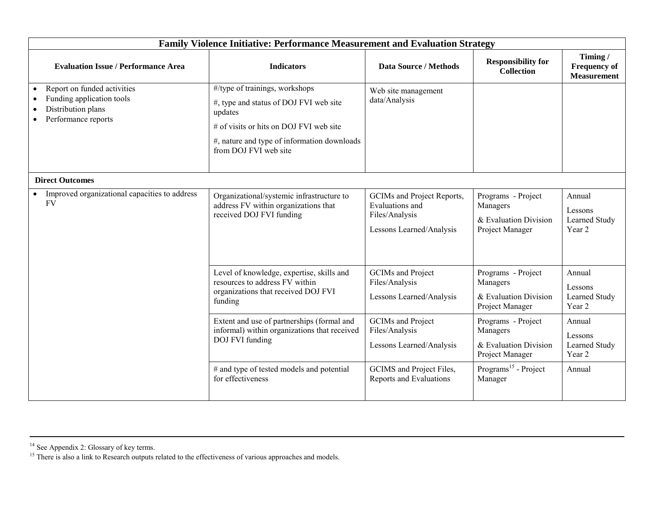|                                                                                                                    | <b>Family Violence Initiative: Performance Measurement and Evaluation Strategy</b>                                                                                                                     |                                                                                             |                                                                            |                                                      |  |  |
|--------------------------------------------------------------------------------------------------------------------|--------------------------------------------------------------------------------------------------------------------------------------------------------------------------------------------------------|---------------------------------------------------------------------------------------------|----------------------------------------------------------------------------|------------------------------------------------------|--|--|
| <b>Evaluation Issue / Performance Area</b>                                                                         | <b>Indicators</b>                                                                                                                                                                                      | <b>Data Source / Methods</b>                                                                | <b>Responsibility for</b><br><b>Collection</b>                             | Timing/<br><b>Frequency of</b><br><b>Measurement</b> |  |  |
| Report on funded activities<br>$\bullet$<br>Funding application tools<br>Distribution plans<br>Performance reports | #/type of trainings, workshops<br>#, type and status of DOJ FVI web site<br>updates<br># of visits or hits on DOJ FVI web site<br>#, nature and type of information downloads<br>from DOJ FVI web site | Web site management<br>data/Analysis                                                        |                                                                            |                                                      |  |  |
| <b>Direct Outcomes</b>                                                                                             |                                                                                                                                                                                                        |                                                                                             |                                                                            |                                                      |  |  |
| Improved organizational capacities to address<br><b>FV</b>                                                         | Organizational/systemic infrastructure to<br>address FV within organizations that<br>received DOJ FVI funding                                                                                          | GCIMs and Project Reports,<br>Evaluations and<br>Files/Analysis<br>Lessons Learned/Analysis | Programs - Project<br>Managers<br>& Evaluation Division<br>Project Manager | Annual<br>Lessons<br>Learned Study<br>Year 2         |  |  |
|                                                                                                                    | Level of knowledge, expertise, skills and<br>resources to address FV within<br>organizations that received DOJ FVI<br>funding                                                                          | <b>GCIMs</b> and Project<br>Files/Analysis<br>Lessons Learned/Analysis                      | Programs - Project<br>Managers<br>& Evaluation Division<br>Project Manager | Annual<br>Lessons<br>Learned Study<br>Year 2         |  |  |
|                                                                                                                    | Extent and use of partnerships (formal and<br>informal) within organizations that received<br>DOJ FVI funding                                                                                          | <b>GCIMs</b> and Project<br>Files/Analysis<br>Lessons Learned/Analysis                      | Programs - Project<br>Managers<br>& Evaluation Division<br>Project Manager | Annual<br>Lessons<br>Learned Study<br>Year 2         |  |  |
|                                                                                                                    | # and type of tested models and potential<br>for effectiveness                                                                                                                                         | GCIMS and Project Files,<br>Reports and Evaluations                                         | Programs <sup>15</sup> - Project<br>Manager                                | Annual                                               |  |  |

 $14$  See Appendix 2: Glossary of key terms.

<sup>&</sup>lt;sup>15</sup> There is also a link to Research outputs related to the effectiveness of various approaches and models.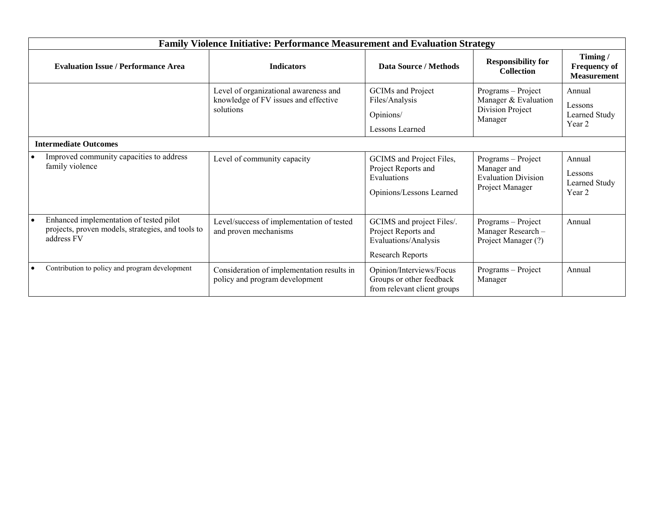|           | <b>Family Violence Initiative: Performance Measurement and Evaluation Strategy</b>                         |                                                                                            |                                                                                                     |                                                                                    |                                                      |  |
|-----------|------------------------------------------------------------------------------------------------------------|--------------------------------------------------------------------------------------------|-----------------------------------------------------------------------------------------------------|------------------------------------------------------------------------------------|------------------------------------------------------|--|
|           | <b>Evaluation Issue / Performance Area</b>                                                                 | <b>Indicators</b>                                                                          | Data Source / Methods                                                                               | <b>Responsibility for</b><br><b>Collection</b>                                     | Timing/<br><b>Frequency of</b><br><b>Measurement</b> |  |
|           |                                                                                                            | Level of organizational awareness and<br>knowledge of FV issues and effective<br>solutions | GCIMs and Project<br>Files/Analysis<br>Opinions/<br>Lessons Learned                                 | Programs - Project<br>Manager & Evaluation<br>Division Project<br>Manager          | Annual<br>Lessons<br>Learned Study<br>Year 2         |  |
|           | <b>Intermediate Outcomes</b>                                                                               |                                                                                            |                                                                                                     |                                                                                    |                                                      |  |
| $\bullet$ | Improved community capacities to address<br>family violence                                                | Level of community capacity                                                                | GCIMS and Project Files,<br>Project Reports and<br>Evaluations<br>Opinions/Lessons Learned          | Programs - Project<br>Manager and<br><b>Evaluation Division</b><br>Project Manager | Annual<br>Lessons<br>Learned Study<br>Year 2         |  |
| ∣•        | Enhanced implementation of tested pilot<br>projects, proven models, strategies, and tools to<br>address FV | Level/success of implementation of tested<br>and proven mechanisms                         | GCIMS and project Files/.<br>Project Reports and<br>Evaluations/Analysis<br><b>Research Reports</b> | Programs - Project<br>Manager Research-<br>Project Manager (?)                     | Annual                                               |  |
|           | Contribution to policy and program development                                                             | Consideration of implementation results in<br>policy and program development               | Opinion/Interviews/Focus<br>Groups or other feedback<br>from relevant client groups                 | Programs - Project<br>Manager                                                      | Annual                                               |  |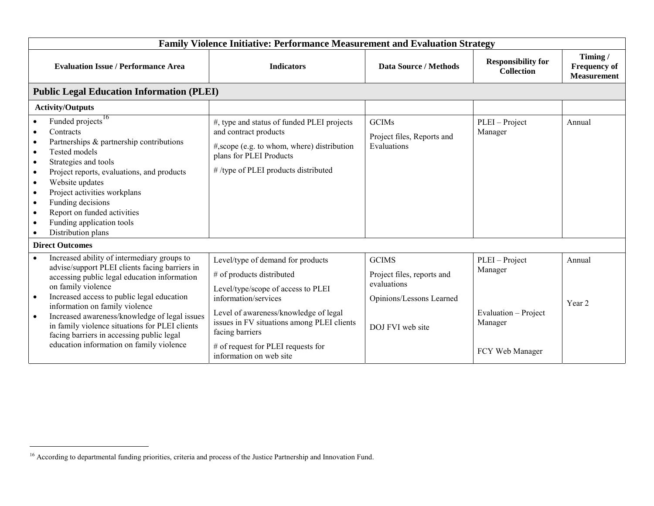| <b>Family Violence Initiative: Performance Measurement and Evaluation Strategy</b>                                                                                                                                                                                                                                                                                                                                                                                        |                                                                                                                                                                                                                                                                                                         |                                                                                                           |                                                                                 |                                                      |  |
|---------------------------------------------------------------------------------------------------------------------------------------------------------------------------------------------------------------------------------------------------------------------------------------------------------------------------------------------------------------------------------------------------------------------------------------------------------------------------|---------------------------------------------------------------------------------------------------------------------------------------------------------------------------------------------------------------------------------------------------------------------------------------------------------|-----------------------------------------------------------------------------------------------------------|---------------------------------------------------------------------------------|------------------------------------------------------|--|
| <b>Evaluation Issue / Performance Area</b>                                                                                                                                                                                                                                                                                                                                                                                                                                | <b>Indicators</b>                                                                                                                                                                                                                                                                                       | <b>Data Source / Methods</b>                                                                              | <b>Responsibility for</b><br><b>Collection</b>                                  | Timing/<br><b>Frequency of</b><br><b>Measurement</b> |  |
| <b>Public Legal Education Information (PLEI)</b>                                                                                                                                                                                                                                                                                                                                                                                                                          |                                                                                                                                                                                                                                                                                                         |                                                                                                           |                                                                                 |                                                      |  |
| <b>Activity/Outputs</b>                                                                                                                                                                                                                                                                                                                                                                                                                                                   |                                                                                                                                                                                                                                                                                                         |                                                                                                           |                                                                                 |                                                      |  |
| Funded projects <sup>16</sup><br>Contracts<br>Partnerships & partnership contributions<br>$\bullet$<br><b>Tested models</b><br>$\bullet$<br>Strategies and tools<br>$\bullet$<br>Project reports, evaluations, and products<br>$\bullet$<br>Website updates<br>$\bullet$<br>Project activities workplans<br>$\bullet$<br>Funding decisions<br>$\bullet$<br>Report on funded activities<br>$\bullet$<br>Funding application tools<br>Distribution plans                    | #, type and status of funded PLEI projects<br>and contract products<br>#, scope (e.g. to whom, where) distribution<br>plans for PLEI Products<br>#/type of PLEI products distributed                                                                                                                    | <b>GCIMs</b><br>Project files, Reports and<br>Evaluations                                                 | PLEI - Project<br>Manager                                                       | Annual                                               |  |
| <b>Direct Outcomes</b>                                                                                                                                                                                                                                                                                                                                                                                                                                                    |                                                                                                                                                                                                                                                                                                         |                                                                                                           |                                                                                 |                                                      |  |
| Increased ability of intermediary groups to<br>advise/support PLEI clients facing barriers in<br>accessing public legal education information<br>on family violence<br>Increased access to public legal education<br>$\bullet$<br>information on family violence<br>Increased awareness/knowledge of legal issues<br>$\bullet$<br>in family violence situations for PLEI clients<br>facing barriers in accessing public legal<br>education information on family violence | Level/type of demand for products<br># of products distributed<br>Level/type/scope of access to PLEI<br>information/services<br>Level of awareness/knowledge of legal<br>issues in FV situations among PLEI clients<br>facing barriers<br># of request for PLEI requests for<br>information on web site | <b>GCIMS</b><br>Project files, reports and<br>evaluations<br>Opinions/Lessons Learned<br>DOJ FVI web site | PLEI - Project<br>Manager<br>Evaluation - Project<br>Manager<br>FCY Web Manager | Annual<br>Year 2                                     |  |

<sup>&</sup>lt;sup>16</sup> According to departmental funding priorities, criteria and process of the Justice Partnership and Innovation Fund.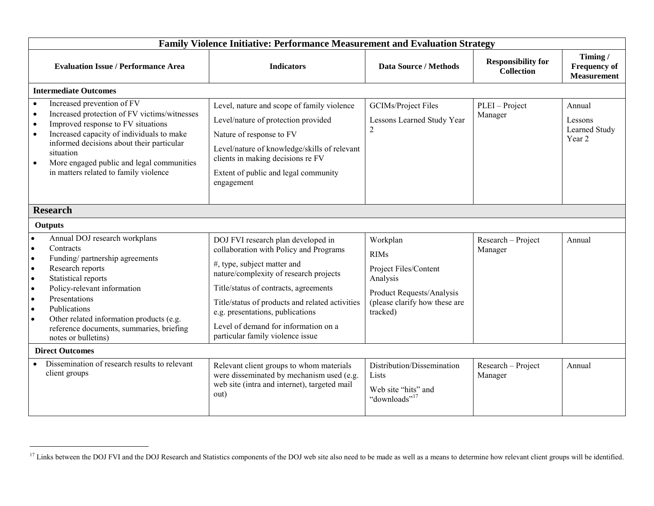|                                                                                                                                                                                                                                                                                                                                                                                                                | <b>Family Violence Initiative: Performance Measurement and Evaluation Strategy</b>                                                                                                                                                                                                                                                                                |                                                                                                                                        |                                                |                                                      |
|----------------------------------------------------------------------------------------------------------------------------------------------------------------------------------------------------------------------------------------------------------------------------------------------------------------------------------------------------------------------------------------------------------------|-------------------------------------------------------------------------------------------------------------------------------------------------------------------------------------------------------------------------------------------------------------------------------------------------------------------------------------------------------------------|----------------------------------------------------------------------------------------------------------------------------------------|------------------------------------------------|------------------------------------------------------|
| <b>Evaluation Issue / Performance Area</b>                                                                                                                                                                                                                                                                                                                                                                     | <b>Indicators</b>                                                                                                                                                                                                                                                                                                                                                 | <b>Data Source / Methods</b>                                                                                                           | <b>Responsibility for</b><br><b>Collection</b> | Timing/<br><b>Frequency of</b><br><b>Measurement</b> |
| <b>Intermediate Outcomes</b>                                                                                                                                                                                                                                                                                                                                                                                   |                                                                                                                                                                                                                                                                                                                                                                   |                                                                                                                                        |                                                |                                                      |
| Increased prevention of FV<br>$\bullet$<br>Increased protection of FV victims/witnesses<br>$\bullet$<br>Improved response to FV situations<br>$\bullet$<br>Increased capacity of individuals to make<br>$\bullet$<br>informed decisions about their particular<br>situation<br>More engaged public and legal communities<br>$\bullet$<br>in matters related to family violence                                 | Level, nature and scope of family violence<br>Level/nature of protection provided<br>Nature of response to FV<br>Level/nature of knowledge/skills of relevant<br>clients in making decisions re FV<br>Extent of public and legal community<br>engagement                                                                                                          | <b>GCIMs/Project Files</b><br>Lessons Learned Study Year<br>$\overline{2}$                                                             | PLEI - Project<br>Manager                      | Annual<br>Lessons<br>Learned Study<br>Year 2         |
| <b>Research</b>                                                                                                                                                                                                                                                                                                                                                                                                |                                                                                                                                                                                                                                                                                                                                                                   |                                                                                                                                        |                                                |                                                      |
| <b>Outputs</b>                                                                                                                                                                                                                                                                                                                                                                                                 |                                                                                                                                                                                                                                                                                                                                                                   |                                                                                                                                        |                                                |                                                      |
| Annual DOJ research workplans<br>Contracts<br>$\bullet$<br>Funding/partnership agreements<br>$\bullet$<br>Research reports<br>$\bullet$<br>Statistical reports<br>$\bullet$<br>Policy-relevant information<br>$\bullet$<br>Presentations<br>$\bullet$<br>Publications<br>$\bullet$<br>Other related information products (e.g.<br>$\bullet$<br>reference documents, summaries, briefing<br>notes or bulletins) | DOJ FVI research plan developed in<br>collaboration with Policy and Programs<br>#, type, subject matter and<br>nature/complexity of research projects<br>Title/status of contracts, agreements<br>Title/status of products and related activities<br>e.g. presentations, publications<br>Level of demand for information on a<br>particular family violence issue | Workplan<br><b>RIMs</b><br>Project Files/Content<br>Analysis<br>Product Requests/Analysis<br>(please clarify how these are<br>tracked) | Research - Project<br>Manager                  | Annual                                               |
| <b>Direct Outcomes</b>                                                                                                                                                                                                                                                                                                                                                                                         |                                                                                                                                                                                                                                                                                                                                                                   |                                                                                                                                        |                                                |                                                      |
| Dissemination of research results to relevant<br>client groups                                                                                                                                                                                                                                                                                                                                                 | Relevant client groups to whom materials<br>were disseminated by mechanism used (e.g.<br>web site (intra and internet), targeted mail<br>out)                                                                                                                                                                                                                     | Distribution/Dissemination<br>Lists<br>Web site "hits" and<br>"downloads" <sup>17</sup>                                                | Research - Project<br>Manager                  | Annual                                               |

<sup>&</sup>lt;sup>17</sup> Links between the DOJ FVI and the DOJ Research and Statistics components of the DOJ web site also need to be made as well as a means to determine how relevant client groups will be identified.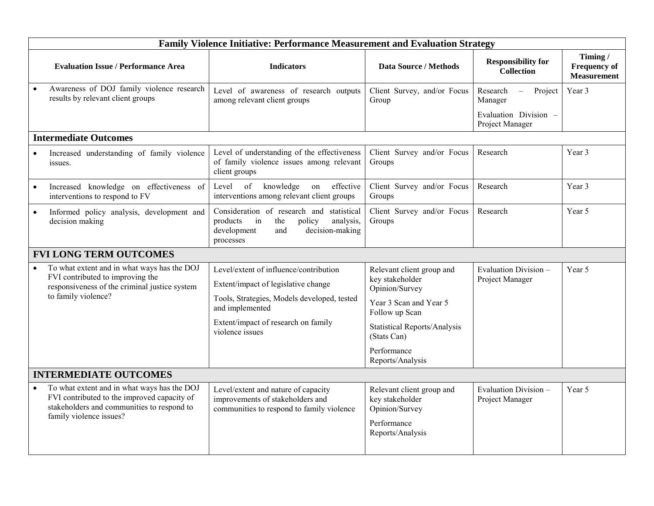| Timing/<br><b>Responsibility for</b><br><b>Evaluation Issue / Performance Area</b><br><b>Indicators</b><br><b>Data Source / Methods</b><br><b>Collection</b><br>Awareness of DOJ family violence research<br>Level of awareness of research outputs<br>Client Survey, and/or Focus<br>Research<br>Project<br>Year 3<br>$\frac{1}{2}$<br>results by relevant client groups<br>among relevant client groups<br>Group<br>Manager<br>Evaluation Division -<br>Project Manager<br><b>Intermediate Outcomes</b><br>Level of understanding of the effectiveness<br>Client Survey and/or Focus<br>Research<br>Increased understanding of family violence<br>Year 3<br>of family violence issues among relevant<br>Groups<br>issues.<br>client groups<br>of<br>knowledge<br>effective<br>Client Survey and/or Focus<br>Increased knowledge on effectiveness of<br>Level<br>Research<br>Year 3<br>on<br>$\bullet$<br>interventions among relevant client groups<br>interventions to respond to FV<br>Groups<br>Consideration of research and statistical<br>Client Survey and/or Focus<br>Research<br>Year 5<br>Informed policy analysis, development and<br>$\bullet$<br>products<br>policy<br>analysis,<br>Groups<br>decision making<br>$\sin$<br>the<br>development<br>decision-making<br>and<br>processes<br><b>FVI LONG TERM OUTCOMES</b><br>To what extent and in what ways has the DOJ<br>Level/extent of influence/contribution<br>Relevant client group and<br>Evaluation Division-<br>Year 5<br>FVI contributed to improving the<br>key stakeholder<br>Project Manager<br>Extent/impact of legislative change<br>responsiveness of the criminal justice system<br>Opinion/Survey<br>to family violence?<br>Tools, Strategies, Models developed, tested<br>Year 3 Scan and Year 5<br>and implemented<br>Follow up Scan<br>Extent/impact of research on family<br><b>Statistical Reports/Analysis</b><br>violence issues<br>(Stats Can)<br>Performance<br>Reports/Analysis<br><b>INTERMEDIATE OUTCOMES</b><br>To what extent and in what ways has the DOJ<br>Evaluation Division-<br>Level/extent and nature of capacity<br>Relevant client group and<br>Year 5<br>FVI contributed to the improved capacity of<br>improvements of stakeholders and<br>key stakeholder<br>Project Manager<br>stakeholders and communities to respond to<br>communities to respond to family violence<br>Opinion/Survey<br>family violence issues?<br>Performance<br>Reports/Analysis |  | <b>Family Violence Initiative: Performance Measurement and Evaluation Strategy</b> |  |  |  |                                           |  |  |
|-------------------------------------------------------------------------------------------------------------------------------------------------------------------------------------------------------------------------------------------------------------------------------------------------------------------------------------------------------------------------------------------------------------------------------------------------------------------------------------------------------------------------------------------------------------------------------------------------------------------------------------------------------------------------------------------------------------------------------------------------------------------------------------------------------------------------------------------------------------------------------------------------------------------------------------------------------------------------------------------------------------------------------------------------------------------------------------------------------------------------------------------------------------------------------------------------------------------------------------------------------------------------------------------------------------------------------------------------------------------------------------------------------------------------------------------------------------------------------------------------------------------------------------------------------------------------------------------------------------------------------------------------------------------------------------------------------------------------------------------------------------------------------------------------------------------------------------------------------------------------------------------------------------------------------------------------------------------------------------------------------------------------------------------------------------------------------------------------------------------------------------------------------------------------------------------------------------------------------------------------------------------------------------------------------------------------------------------------------------------------------------------------------------------------------------------------------------------|--|------------------------------------------------------------------------------------|--|--|--|-------------------------------------------|--|--|
|                                                                                                                                                                                                                                                                                                                                                                                                                                                                                                                                                                                                                                                                                                                                                                                                                                                                                                                                                                                                                                                                                                                                                                                                                                                                                                                                                                                                                                                                                                                                                                                                                                                                                                                                                                                                                                                                                                                                                                                                                                                                                                                                                                                                                                                                                                                                                                                                                                                                   |  |                                                                                    |  |  |  | <b>Frequency of</b><br><b>Measurement</b> |  |  |
|                                                                                                                                                                                                                                                                                                                                                                                                                                                                                                                                                                                                                                                                                                                                                                                                                                                                                                                                                                                                                                                                                                                                                                                                                                                                                                                                                                                                                                                                                                                                                                                                                                                                                                                                                                                                                                                                                                                                                                                                                                                                                                                                                                                                                                                                                                                                                                                                                                                                   |  |                                                                                    |  |  |  |                                           |  |  |
|                                                                                                                                                                                                                                                                                                                                                                                                                                                                                                                                                                                                                                                                                                                                                                                                                                                                                                                                                                                                                                                                                                                                                                                                                                                                                                                                                                                                                                                                                                                                                                                                                                                                                                                                                                                                                                                                                                                                                                                                                                                                                                                                                                                                                                                                                                                                                                                                                                                                   |  |                                                                                    |  |  |  |                                           |  |  |
|                                                                                                                                                                                                                                                                                                                                                                                                                                                                                                                                                                                                                                                                                                                                                                                                                                                                                                                                                                                                                                                                                                                                                                                                                                                                                                                                                                                                                                                                                                                                                                                                                                                                                                                                                                                                                                                                                                                                                                                                                                                                                                                                                                                                                                                                                                                                                                                                                                                                   |  |                                                                                    |  |  |  |                                           |  |  |
|                                                                                                                                                                                                                                                                                                                                                                                                                                                                                                                                                                                                                                                                                                                                                                                                                                                                                                                                                                                                                                                                                                                                                                                                                                                                                                                                                                                                                                                                                                                                                                                                                                                                                                                                                                                                                                                                                                                                                                                                                                                                                                                                                                                                                                                                                                                                                                                                                                                                   |  |                                                                                    |  |  |  |                                           |  |  |
|                                                                                                                                                                                                                                                                                                                                                                                                                                                                                                                                                                                                                                                                                                                                                                                                                                                                                                                                                                                                                                                                                                                                                                                                                                                                                                                                                                                                                                                                                                                                                                                                                                                                                                                                                                                                                                                                                                                                                                                                                                                                                                                                                                                                                                                                                                                                                                                                                                                                   |  |                                                                                    |  |  |  |                                           |  |  |
|                                                                                                                                                                                                                                                                                                                                                                                                                                                                                                                                                                                                                                                                                                                                                                                                                                                                                                                                                                                                                                                                                                                                                                                                                                                                                                                                                                                                                                                                                                                                                                                                                                                                                                                                                                                                                                                                                                                                                                                                                                                                                                                                                                                                                                                                                                                                                                                                                                                                   |  |                                                                                    |  |  |  |                                           |  |  |
|                                                                                                                                                                                                                                                                                                                                                                                                                                                                                                                                                                                                                                                                                                                                                                                                                                                                                                                                                                                                                                                                                                                                                                                                                                                                                                                                                                                                                                                                                                                                                                                                                                                                                                                                                                                                                                                                                                                                                                                                                                                                                                                                                                                                                                                                                                                                                                                                                                                                   |  |                                                                                    |  |  |  |                                           |  |  |
|                                                                                                                                                                                                                                                                                                                                                                                                                                                                                                                                                                                                                                                                                                                                                                                                                                                                                                                                                                                                                                                                                                                                                                                                                                                                                                                                                                                                                                                                                                                                                                                                                                                                                                                                                                                                                                                                                                                                                                                                                                                                                                                                                                                                                                                                                                                                                                                                                                                                   |  |                                                                                    |  |  |  |                                           |  |  |
|                                                                                                                                                                                                                                                                                                                                                                                                                                                                                                                                                                                                                                                                                                                                                                                                                                                                                                                                                                                                                                                                                                                                                                                                                                                                                                                                                                                                                                                                                                                                                                                                                                                                                                                                                                                                                                                                                                                                                                                                                                                                                                                                                                                                                                                                                                                                                                                                                                                                   |  |                                                                                    |  |  |  |                                           |  |  |
|                                                                                                                                                                                                                                                                                                                                                                                                                                                                                                                                                                                                                                                                                                                                                                                                                                                                                                                                                                                                                                                                                                                                                                                                                                                                                                                                                                                                                                                                                                                                                                                                                                                                                                                                                                                                                                                                                                                                                                                                                                                                                                                                                                                                                                                                                                                                                                                                                                                                   |  |                                                                                    |  |  |  |                                           |  |  |
|                                                                                                                                                                                                                                                                                                                                                                                                                                                                                                                                                                                                                                                                                                                                                                                                                                                                                                                                                                                                                                                                                                                                                                                                                                                                                                                                                                                                                                                                                                                                                                                                                                                                                                                                                                                                                                                                                                                                                                                                                                                                                                                                                                                                                                                                                                                                                                                                                                                                   |  |                                                                                    |  |  |  |                                           |  |  |
|                                                                                                                                                                                                                                                                                                                                                                                                                                                                                                                                                                                                                                                                                                                                                                                                                                                                                                                                                                                                                                                                                                                                                                                                                                                                                                                                                                                                                                                                                                                                                                                                                                                                                                                                                                                                                                                                                                                                                                                                                                                                                                                                                                                                                                                                                                                                                                                                                                                                   |  |                                                                                    |  |  |  |                                           |  |  |
|                                                                                                                                                                                                                                                                                                                                                                                                                                                                                                                                                                                                                                                                                                                                                                                                                                                                                                                                                                                                                                                                                                                                                                                                                                                                                                                                                                                                                                                                                                                                                                                                                                                                                                                                                                                                                                                                                                                                                                                                                                                                                                                                                                                                                                                                                                                                                                                                                                                                   |  |                                                                                    |  |  |  |                                           |  |  |
|                                                                                                                                                                                                                                                                                                                                                                                                                                                                                                                                                                                                                                                                                                                                                                                                                                                                                                                                                                                                                                                                                                                                                                                                                                                                                                                                                                                                                                                                                                                                                                                                                                                                                                                                                                                                                                                                                                                                                                                                                                                                                                                                                                                                                                                                                                                                                                                                                                                                   |  |                                                                                    |  |  |  |                                           |  |  |
|                                                                                                                                                                                                                                                                                                                                                                                                                                                                                                                                                                                                                                                                                                                                                                                                                                                                                                                                                                                                                                                                                                                                                                                                                                                                                                                                                                                                                                                                                                                                                                                                                                                                                                                                                                                                                                                                                                                                                                                                                                                                                                                                                                                                                                                                                                                                                                                                                                                                   |  |                                                                                    |  |  |  |                                           |  |  |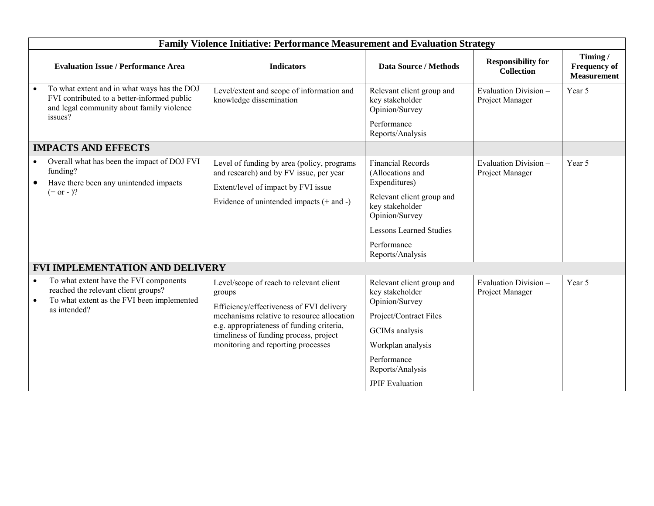| Family Violence Initiative: Performance Measurement and Evaluation Strategy |                                                                                                                                             |                                                                                                                                                                                                                                                                          |                                                                                                                                                                                                      |                                                |                                                      |  |
|-----------------------------------------------------------------------------|---------------------------------------------------------------------------------------------------------------------------------------------|--------------------------------------------------------------------------------------------------------------------------------------------------------------------------------------------------------------------------------------------------------------------------|------------------------------------------------------------------------------------------------------------------------------------------------------------------------------------------------------|------------------------------------------------|------------------------------------------------------|--|
|                                                                             | <b>Evaluation Issue / Performance Area</b>                                                                                                  | <b>Indicators</b>                                                                                                                                                                                                                                                        | <b>Data Source / Methods</b>                                                                                                                                                                         | <b>Responsibility for</b><br><b>Collection</b> | Timing/<br><b>Frequency of</b><br><b>Measurement</b> |  |
| issues?                                                                     | To what extent and in what ways has the DOJ<br>FVI contributed to a better-informed public<br>and legal community about family violence     | Level/extent and scope of information and<br>knowledge dissemination                                                                                                                                                                                                     | Relevant client group and<br>key stakeholder<br>Opinion/Survey<br>Performance<br>Reports/Analysis                                                                                                    | Evaluation Division-<br>Project Manager        | Year 5                                               |  |
|                                                                             | <b>IMPACTS AND EFFECTS</b>                                                                                                                  |                                                                                                                                                                                                                                                                          |                                                                                                                                                                                                      |                                                |                                                      |  |
| funding?<br>$(+ or - )?$                                                    | Overall what has been the impact of DOJ FVI<br>Have there been any unintended impacts                                                       | Level of funding by area (policy, programs<br>and research) and by FV issue, per year<br>Extent/level of impact by FVI issue<br>Evidence of unintended impacts $(+$ and $-)$                                                                                             | <b>Financial Records</b><br>(Allocations and<br>Expenditures)<br>Relevant client group and<br>key stakeholder<br>Opinion/Survey<br><b>Lessons Learned Studies</b><br>Performance<br>Reports/Analysis | Evaluation Division-<br>Project Manager        | Year 5                                               |  |
| <b>FVI IMPLEMENTATION AND DELIVERY</b>                                      |                                                                                                                                             |                                                                                                                                                                                                                                                                          |                                                                                                                                                                                                      |                                                |                                                      |  |
| $\bullet$                                                                   | To what extent have the FVI components<br>reached the relevant client groups?<br>To what extent as the FVI been implemented<br>as intended? | Level/scope of reach to relevant client<br>groups<br>Efficiency/effectiveness of FVI delivery<br>mechanisms relative to resource allocation<br>e.g. appropriateness of funding criteria,<br>timeliness of funding process, project<br>monitoring and reporting processes | Relevant client group and<br>key stakeholder<br>Opinion/Survey<br>Project/Contract Files<br>GCIMs analysis<br>Workplan analysis<br>Performance<br>Reports/Analysis<br><b>JPIF</b> Evaluation         | Evaluation Division-<br>Project Manager        | Year 5                                               |  |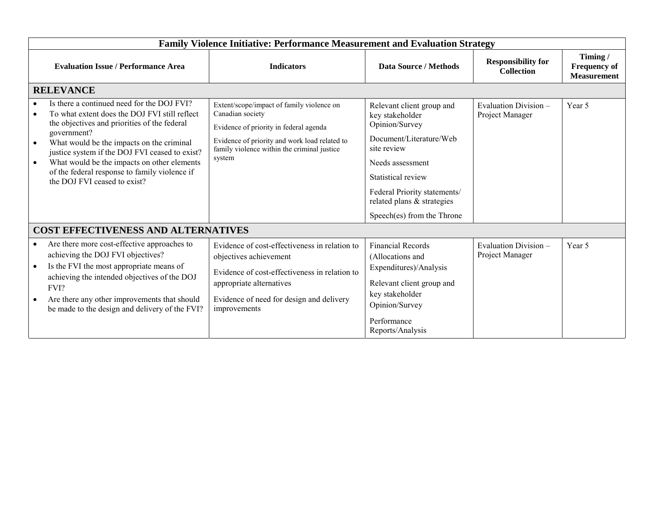|                                            | <b>Family Violence Initiative: Performance Measurement and Evaluation Strategy</b>                                                                                                                                                                                                                                                                                                        |                                                                                                                                                                                                                   |                                                                                                                                                                                                                                                |                                                |                                                      |  |  |  |  |
|--------------------------------------------|-------------------------------------------------------------------------------------------------------------------------------------------------------------------------------------------------------------------------------------------------------------------------------------------------------------------------------------------------------------------------------------------|-------------------------------------------------------------------------------------------------------------------------------------------------------------------------------------------------------------------|------------------------------------------------------------------------------------------------------------------------------------------------------------------------------------------------------------------------------------------------|------------------------------------------------|------------------------------------------------------|--|--|--|--|
|                                            | <b>Evaluation Issue / Performance Area</b>                                                                                                                                                                                                                                                                                                                                                | <b>Indicators</b>                                                                                                                                                                                                 | <b>Data Source / Methods</b>                                                                                                                                                                                                                   | <b>Responsibility for</b><br><b>Collection</b> | Timing/<br><b>Frequency of</b><br><b>Measurement</b> |  |  |  |  |
|                                            | <b>RELEVANCE</b>                                                                                                                                                                                                                                                                                                                                                                          |                                                                                                                                                                                                                   |                                                                                                                                                                                                                                                |                                                |                                                      |  |  |  |  |
| $\bullet$<br>$\bullet$                     | Is there a continued need for the DOJ FVI?<br>To what extent does the DOJ FVI still reflect<br>the objectives and priorities of the federal<br>government?<br>What would be the impacts on the criminal<br>justice system if the DOJ FVI ceased to exist?<br>What would be the impacts on other elements<br>of the federal response to family violence if<br>the DOJ FVI ceased to exist? | Extent/scope/impact of family violence on<br>Canadian society<br>Evidence of priority in federal agenda<br>Evidence of priority and work load related to<br>family violence within the criminal justice<br>system | Relevant client group and<br>key stakeholder<br>Opinion/Survey<br>Document/Literature/Web<br>site review<br>Needs assessment<br>Statistical review<br>Federal Priority statements/<br>related plans & strategies<br>Speech(es) from the Throne | Evaluation Division -<br>Project Manager       | Year 5                                               |  |  |  |  |
| <b>COST EFFECTIVENESS AND ALTERNATIVES</b> |                                                                                                                                                                                                                                                                                                                                                                                           |                                                                                                                                                                                                                   |                                                                                                                                                                                                                                                |                                                |                                                      |  |  |  |  |
| $\bullet$<br>$\bullet$                     | Are there more cost-effective approaches to<br>achieving the DOJ FVI objectives?<br>Is the FVI the most appropriate means of<br>achieving the intended objectives of the DOJ<br>FVI?<br>Are there any other improvements that should<br>be made to the design and delivery of the FVI?                                                                                                    | Evidence of cost-effectiveness in relation to<br>objectives achievement<br>Evidence of cost-effectiveness in relation to<br>appropriate alternatives<br>Evidence of need for design and delivery<br>improvements  | <b>Financial Records</b><br>(Allocations and<br>Expenditures)/Analysis<br>Relevant client group and<br>key stakeholder<br>Opinion/Survey<br>Performance<br>Reports/Analysis                                                                    | Evaluation Division-<br>Project Manager        | Year 5                                               |  |  |  |  |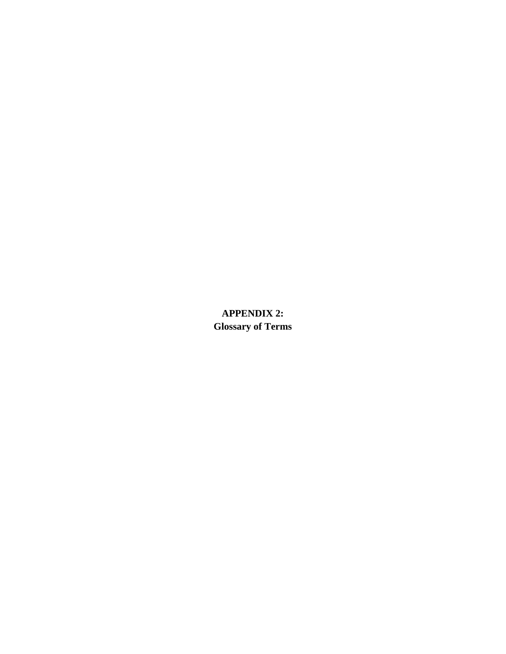**APPENDIX 2: Glossary of Terms**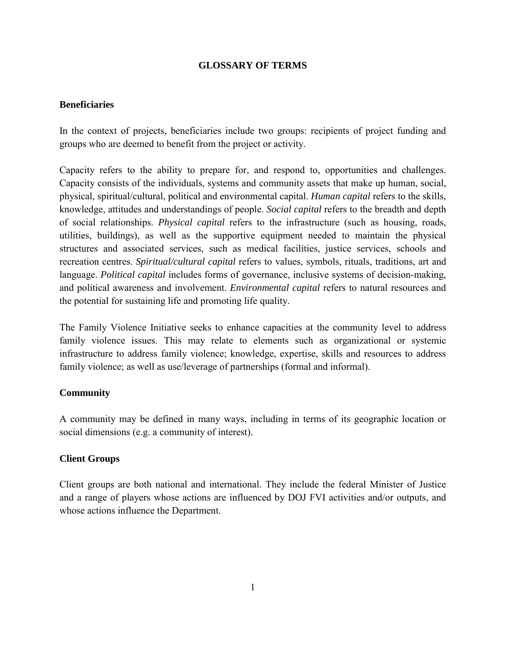### **GLOSSARY OF TERMS**

### **Beneficiaries**

In the context of projects, beneficiaries include two groups: recipients of project funding and groups who are deemed to benefit from the project or activity.

Capacity refers to the ability to prepare for, and respond to, opportunities and challenges. Capacity consists of the individuals, systems and community assets that make up human, social, physical, spiritual/cultural, political and environmental capital. *Human capital* refers to the skills, knowledge, attitudes and understandings of people. *Social capital* refers to the breadth and depth of social relationships. *Physical capital* refers to the infrastructure (such as housing, roads, utilities, buildings), as well as the supportive equipment needed to maintain the physical structures and associated services, such as medical facilities, justice services, schools and recreation centres. *Spiritual/cultural capital* refers to values, symbols, rituals, traditions, art and language. *Political capital* includes forms of governance, inclusive systems of decision-making, and political awareness and involvement. *Environmental capital* refers to natural resources and the potential for sustaining life and promoting life quality.

The Family Violence Initiative seeks to enhance capacities at the community level to address family violence issues. This may relate to elements such as organizational or systemic infrastructure to address family violence; knowledge, expertise, skills and resources to address family violence; as well as use/leverage of partnerships (formal and informal).

### **Community**

A community may be defined in many ways, including in terms of its geographic location or social dimensions (e.g. a community of interest).

# **Client Groups**

Client groups are both national and international. They include the federal Minister of Justice and a range of players whose actions are influenced by DOJ FVI activities and/or outputs, and whose actions influence the Department.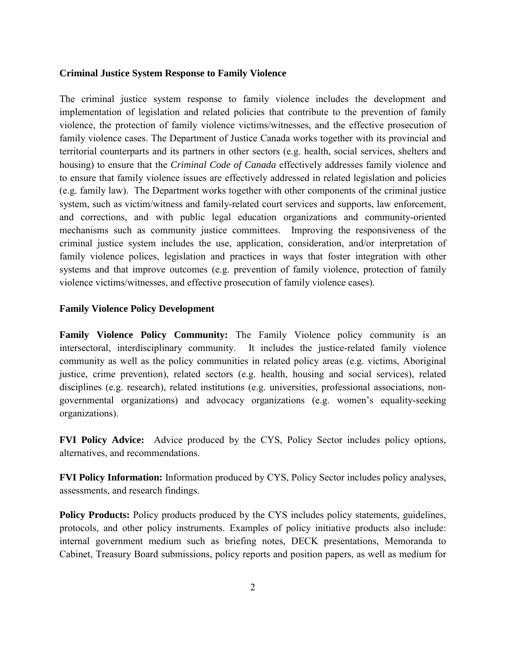#### **Criminal Justice System Response to Family Violence**

The criminal justice system response to family violence includes the development and implementation of legislation and related policies that contribute to the prevention of family violence, the protection of family violence victims/witnesses, and the effective prosecution of family violence cases. The Department of Justice Canada works together with its provincial and territorial counterparts and its partners in other sectors (e.g. health, social services, shelters and housing) to ensure that the *Criminal Code of Canada* effectively addresses family violence and to ensure that family violence issues are effectively addressed in related legislation and policies (e.g. family law). The Department works together with other components of the criminal justice system, such as victim/witness and family-related court services and supports, law enforcement, and corrections, and with public legal education organizations and community-oriented mechanisms such as community justice committees. Improving the responsiveness of the criminal justice system includes the use, application, consideration, and/or interpretation of family violence polices, legislation and practices in ways that foster integration with other systems and that improve outcomes (e.g. prevention of family violence, protection of family violence victims/witnesses, and effective prosecution of family violence cases).

### **Family Violence Policy Development**

**Family Violence Policy Community:** The Family Violence policy community is an intersectoral, interdisciplinary community. It includes the justice-related family violence community as well as the policy communities in related policy areas (e.g. victims, Aboriginal justice, crime prevention), related sectors (e.g. health, housing and social services), related disciplines (e.g. research), related institutions (e.g. universities, professional associations, nongovernmental organizations) and advocacy organizations (e.g. women's equality-seeking organizations).

**FVI Policy Advice:** Advice produced by the CYS, Policy Sector includes policy options, alternatives, and recommendations.

**FVI Policy Information:** Information produced by CYS, Policy Sector includes policy analyses, assessments, and research findings.

**Policy Products:** Policy products produced by the CYS includes policy statements, guidelines, protocols, and other policy instruments. Examples of policy initiative products also include: internal government medium such as briefing notes, DECK presentations, Memoranda to Cabinet, Treasury Board submissions, policy reports and position papers, as well as medium for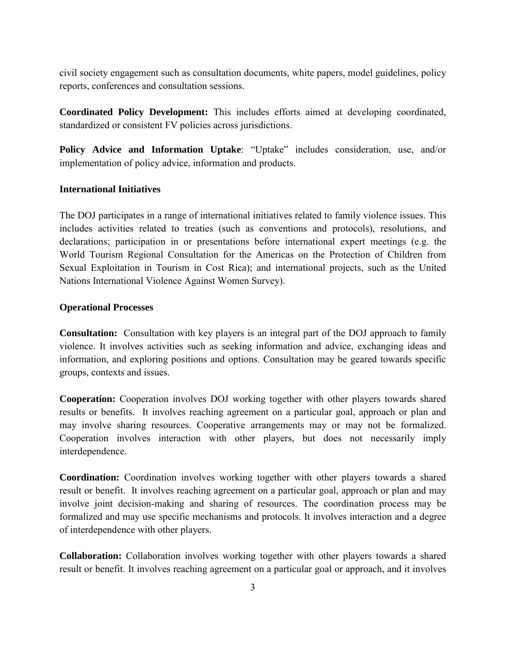civil society engagement such as consultation documents, white papers, model guidelines, policy reports, conferences and consultation sessions.

**Coordinated Policy Development:** This includes efforts aimed at developing coordinated, standardized or consistent FV policies across jurisdictions.

**Policy Advice and Information Uptake**: "Uptake" includes consideration, use, and/or implementation of policy advice, information and products.

### **International Initiatives**

The DOJ participates in a range of international initiatives related to family violence issues. This includes activities related to treaties (such as conventions and protocols), resolutions, and declarations; participation in or presentations before international expert meetings (e.g. the World Tourism Regional Consultation for the Americas on the Protection of Children from Sexual Exploitation in Tourism in Cost Rica); and international projects, such as the United Nations International Violence Against Women Survey).

### **Operational Processes**

**Consultation:** Consultation with key players is an integral part of the DOJ approach to family violence. It involves activities such as seeking information and advice, exchanging ideas and information, and exploring positions and options. Consultation may be geared towards specific groups, contexts and issues.

**Cooperation:** Cooperation involves DOJ working together with other players towards shared results or benefits. It involves reaching agreement on a particular goal, approach or plan and may involve sharing resources. Cooperative arrangements may or may not be formalized. Cooperation involves interaction with other players, but does not necessarily imply interdependence.

**Coordination:** Coordination involves working together with other players towards a shared result or benefit. It involves reaching agreement on a particular goal, approach or plan and may involve joint decision-making and sharing of resources. The coordination process may be formalized and may use specific mechanisms and protocols. It involves interaction and a degree of interdependence with other players.

**Collaboration:** Collaboration involves working together with other players towards a shared result or benefit. It involves reaching agreement on a particular goal or approach, and it involves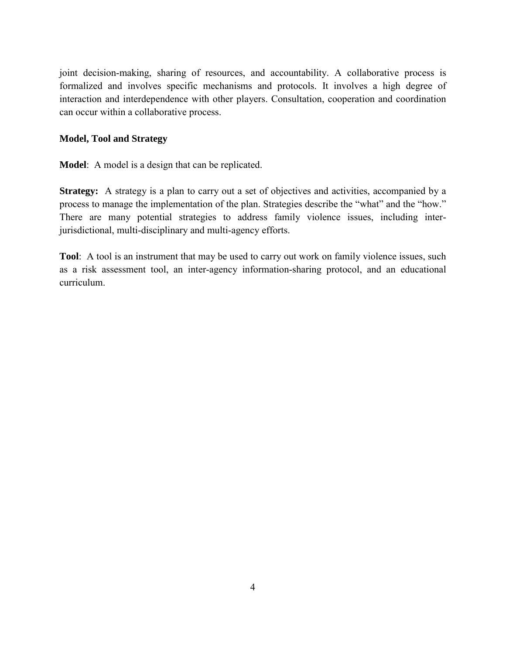joint decision-making, sharing of resources, and accountability. A collaborative process is formalized and involves specific mechanisms and protocols. It involves a high degree of interaction and interdependence with other players. Consultation, cooperation and coordination can occur within a collaborative process.

#### **Model, Tool and Strategy**

**Model**: A model is a design that can be replicated.

**Strategy:** A strategy is a plan to carry out a set of objectives and activities, accompanied by a process to manage the implementation of the plan. Strategies describe the "what" and the "how." There are many potential strategies to address family violence issues, including interjurisdictional, multi-disciplinary and multi-agency efforts.

**Tool**: A tool is an instrument that may be used to carry out work on family violence issues, such as a risk assessment tool, an inter-agency information-sharing protocol, and an educational curriculum.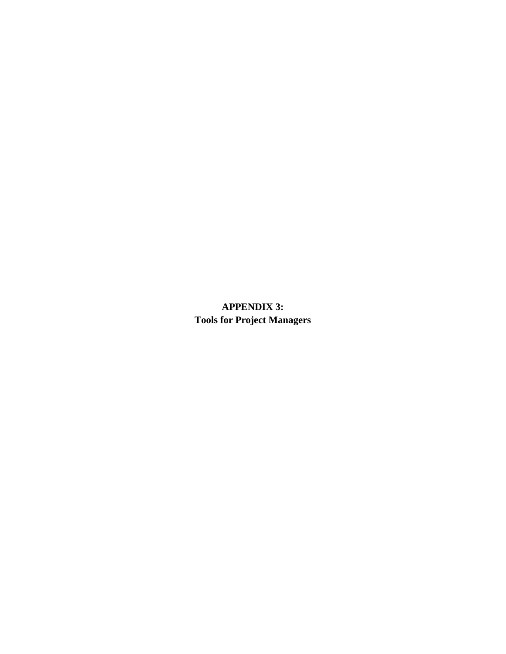**APPENDIX 3: Tools for Project Managers**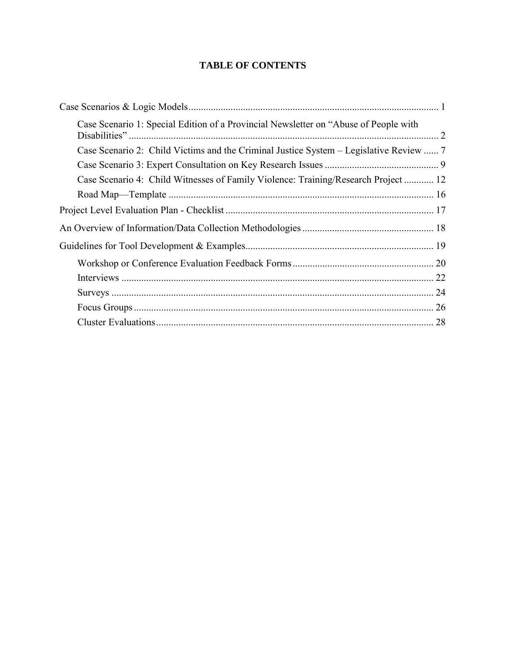## **TABLE OF CONTENTS**

| Case Scenario 1: Special Edition of a Provincial Newsletter on "Abuse of People with   |  |
|----------------------------------------------------------------------------------------|--|
| Case Scenario 2: Child Victims and the Criminal Justice System – Legislative Review  7 |  |
|                                                                                        |  |
| Case Scenario 4: Child Witnesses of Family Violence: Training/Research Project  12     |  |
|                                                                                        |  |
|                                                                                        |  |
|                                                                                        |  |
|                                                                                        |  |
|                                                                                        |  |
| 22                                                                                     |  |
|                                                                                        |  |
|                                                                                        |  |
|                                                                                        |  |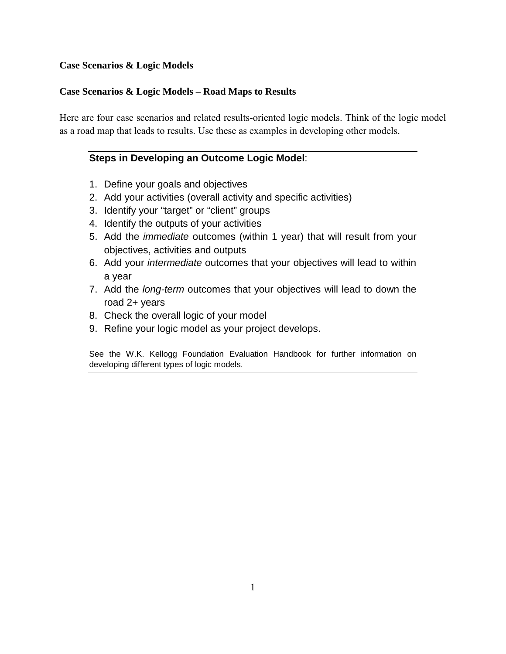#### **Case Scenarios & Logic Models**

#### **Case Scenarios & Logic Models – Road Maps to Results**

Here are four case scenarios and related results-oriented logic models. Think of the logic model as a road map that leads to results. Use these as examples in developing other models.

#### **Steps in Developing an Outcome Logic Model**:

- 1. Define your goals and objectives
- 2. Add your activities (overall activity and specific activities)
- 3. Identify your "target" or "client" groups
- 4. Identify the outputs of your activities
- 5. Add the *immediate* outcomes (within 1 year) that will result from your objectives, activities and outputs
- 6. Add your *intermediate* outcomes that your objectives will lead to within a year
- 7. Add the *long-term* outcomes that your objectives will lead to down the road 2+ years
- 8. Check the overall logic of your model
- 9. Refine your logic model as your project develops.

See the W.K. Kellogg Foundation Evaluation Handbook for further information on developing different types of logic models.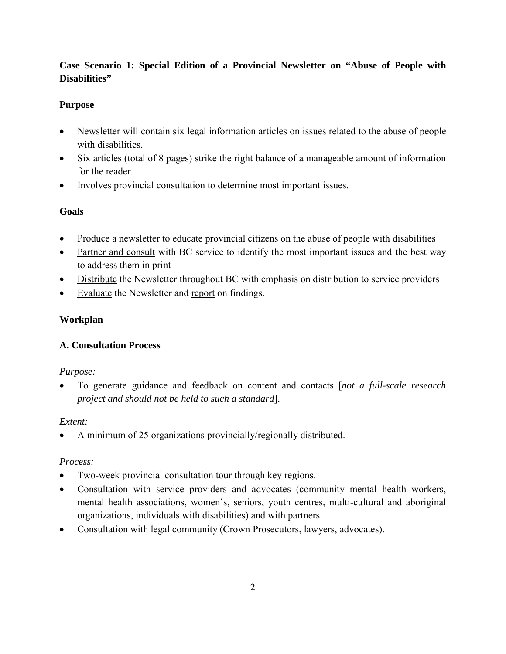## **Case Scenario 1: Special Edition of a Provincial Newsletter on "Abuse of People with Disabilities"**

## **Purpose**

- Newsletter will contain six legal information articles on issues related to the abuse of people with disabilities.
- Six articles (total of 8 pages) strike the right balance of a manageable amount of information for the reader.
- Involves provincial consultation to determine most important issues.

#### **Goals**

- Produce a newsletter to educate provincial citizens on the abuse of people with disabilities
- Partner and consult with BC service to identify the most important issues and the best way to address them in print
- Distribute the Newsletter throughout BC with emphasis on distribution to service providers
- Evaluate the Newsletter and report on findings.

#### **Workplan**

#### **A. Consultation Process**

#### *Purpose:*

• To generate guidance and feedback on content and contacts [*not a full-scale research project and should not be held to such a standard*].

#### *Extent:*

• A minimum of 25 organizations provincially/regionally distributed.

#### *Process:*

- Two-week provincial consultation tour through key regions.
- Consultation with service providers and advocates (community mental health workers, mental health associations, women's, seniors, youth centres, multi-cultural and aboriginal organizations, individuals with disabilities) and with partners
- Consultation with legal community (Crown Prosecutors, lawyers, advocates).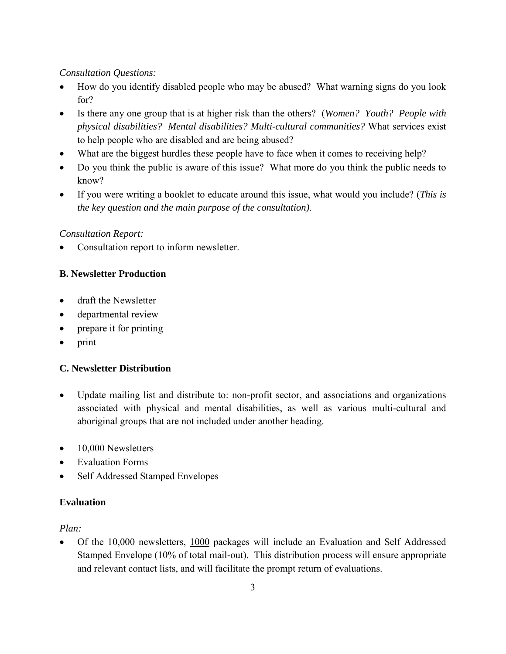#### *Consultation Questions:*

- How do you identify disabled people who may be abused? What warning signs do you look for?
- Is there any one group that is at higher risk than the others? (*Women? Youth? People with physical disabilities? Mental disabilities? Multi-cultural communities?* What services exist to help people who are disabled and are being abused?
- What are the biggest hurdles these people have to face when it comes to receiving help?
- Do you think the public is aware of this issue? What more do you think the public needs to know?
- If you were writing a booklet to educate around this issue, what would you include? (*This is the key question and the main purpose of the consultation)*.

#### *Consultation Report:*

• Consultation report to inform newsletter.

#### **B. Newsletter Production**

- draft the Newsletter
- departmental review
- prepare it for printing
- print

#### **C. Newsletter Distribution**

- Update mailing list and distribute to: non-profit sector, and associations and organizations associated with physical and mental disabilities, as well as various multi-cultural and aboriginal groups that are not included under another heading.
- 10,000 Newsletters
- Evaluation Forms
- Self Addressed Stamped Envelopes

#### **Evaluation**

#### *Plan:*

• Of the 10,000 newsletters, 1000 packages will include an Evaluation and Self Addressed Stamped Envelope (10% of total mail-out). This distribution process will ensure appropriate and relevant contact lists, and will facilitate the prompt return of evaluations.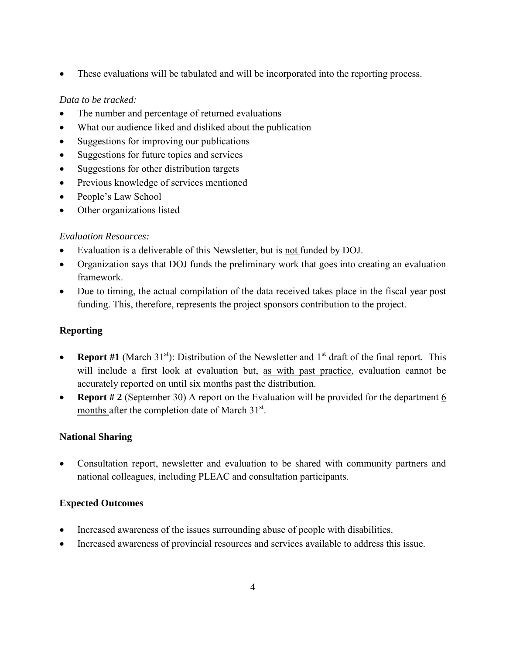• These evaluations will be tabulated and will be incorporated into the reporting process.

#### *Data to be tracked:*

- The number and percentage of returned evaluations
- What our audience liked and disliked about the publication
- Suggestions for improving our publications
- Suggestions for future topics and services
- Suggestions for other distribution targets
- Previous knowledge of services mentioned
- People's Law School
- Other organizations listed

#### *Evaluation Resources:*

- Evaluation is a deliverable of this Newsletter, but is not funded by DOJ.
- Organization says that DOJ funds the preliminary work that goes into creating an evaluation framework.
- Due to timing, the actual compilation of the data received takes place in the fiscal year post funding. This, therefore, represents the project sponsors contribution to the project.

## **Reporting**

- **Report #1** (March 31<sup>st</sup>): Distribution of the Newsletter and  $1<sup>st</sup>$  draft of the final report. This will include a first look at evaluation but, as with past practice, evaluation cannot be accurately reported on until six months past the distribution.
- **Report #2** (September 30) A report on the Evaluation will be provided for the department 6 months after the completion date of March  $31<sup>st</sup>$ .

#### **National Sharing**

• Consultation report, newsletter and evaluation to be shared with community partners and national colleagues, including PLEAC and consultation participants.

#### **Expected Outcomes**

- Increased awareness of the issues surrounding abuse of people with disabilities.
- Increased awareness of provincial resources and services available to address this issue.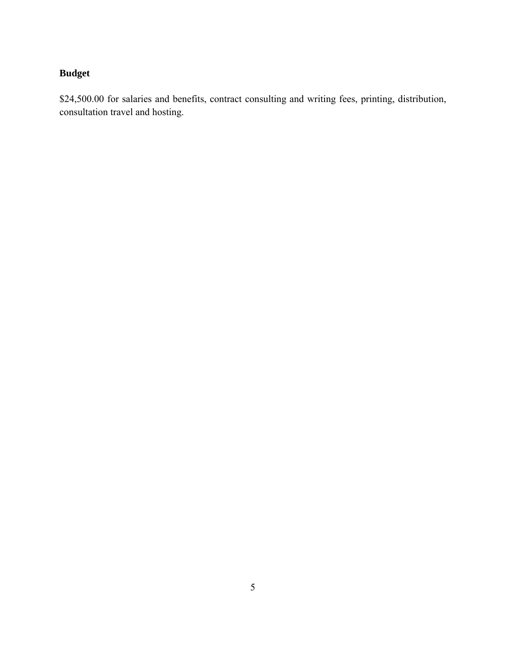# **Budget**

\$24,500.00 for salaries and benefits, contract consulting and writing fees, printing, distribution, consultation travel and hosting.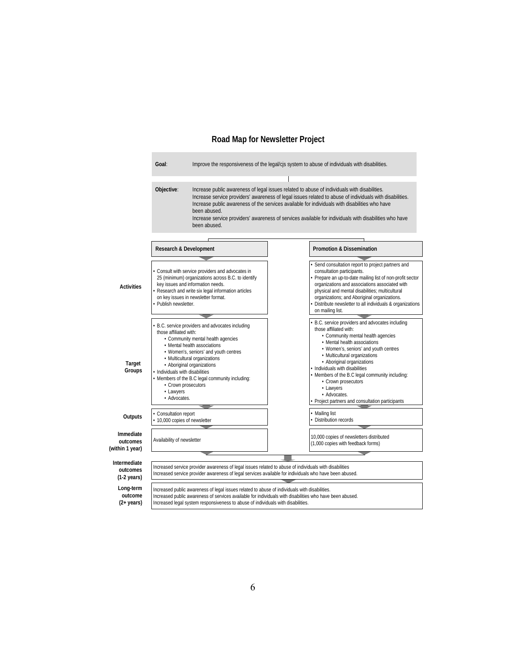#### **Road Map for Newsletter Project**

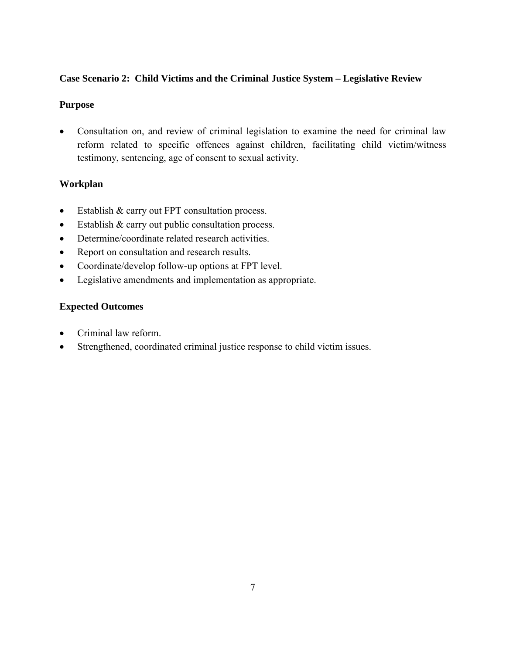#### **Case Scenario 2: Child Victims and the Criminal Justice System – Legislative Review**

#### **Purpose**

• Consultation on, and review of criminal legislation to examine the need for criminal law reform related to specific offences against children, facilitating child victim/witness testimony, sentencing, age of consent to sexual activity.

## **Workplan**

- Establish & carry out FPT consultation process.
- Establish & carry out public consultation process.
- Determine/coordinate related research activities.
- Report on consultation and research results.
- Coordinate/develop follow-up options at FPT level.
- Legislative amendments and implementation as appropriate.

## **Expected Outcomes**

- Criminal law reform.
- Strengthened, coordinated criminal justice response to child victim issues.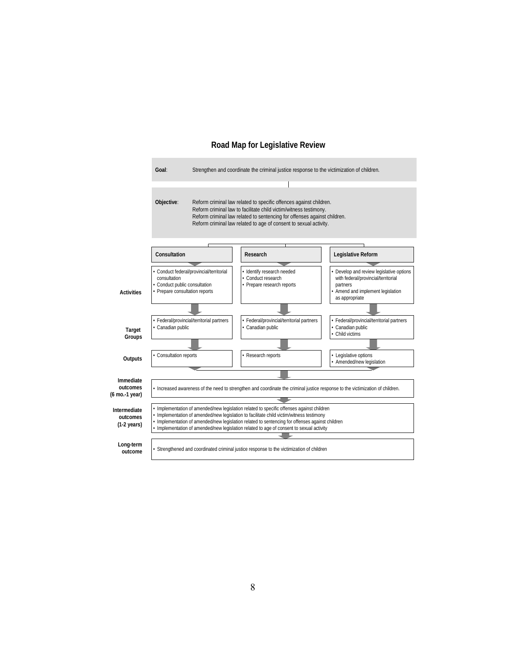

#### **Road Map for Legislative Review**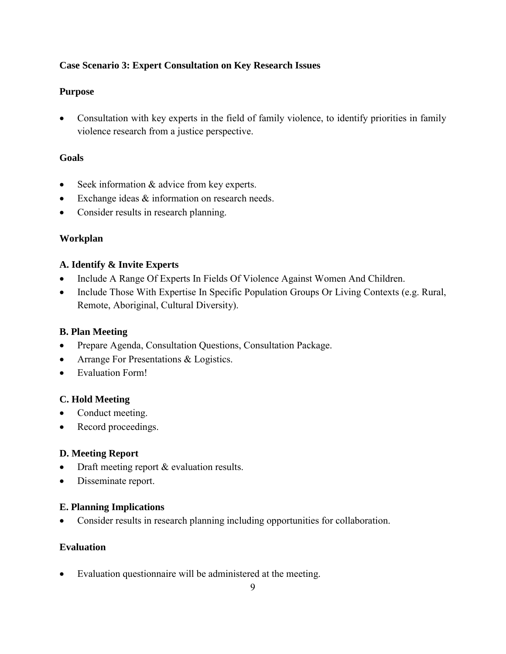#### **Case Scenario 3: Expert Consultation on Key Research Issues**

#### **Purpose**

• Consultation with key experts in the field of family violence, to identify priorities in family violence research from a justice perspective.

#### **Goals**

- Seek information  $&$  advice from key experts.
- Exchange ideas & information on research needs.
- Consider results in research planning.

## **Workplan**

#### **A. Identify & Invite Experts**

- Include A Range Of Experts In Fields Of Violence Against Women And Children.
- Include Those With Expertise In Specific Population Groups Or Living Contexts (e.g. Rural, Remote, Aboriginal, Cultural Diversity).

#### **B. Plan Meeting**

- Prepare Agenda, Consultation Questions, Consultation Package.
- Arrange For Presentations & Logistics.
- Evaluation Form!

#### **C. Hold Meeting**

- Conduct meeting.
- Record proceedings.

#### **D. Meeting Report**

- Draft meeting report & evaluation results.
- Disseminate report.

#### **E. Planning Implications**

• Consider results in research planning including opportunities for collaboration.

#### **Evaluation**

• Evaluation questionnaire will be administered at the meeting.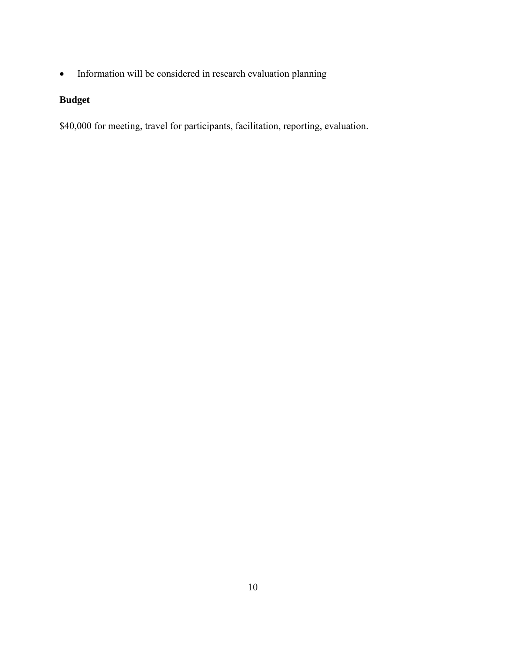• Information will be considered in research evaluation planning

## **Budget**

\$40,000 for meeting, travel for participants, facilitation, reporting, evaluation.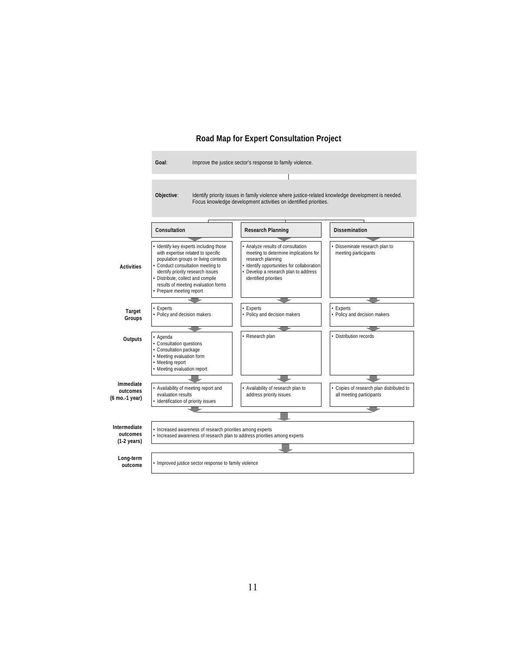#### **Road Map for Expert Consultation Project**

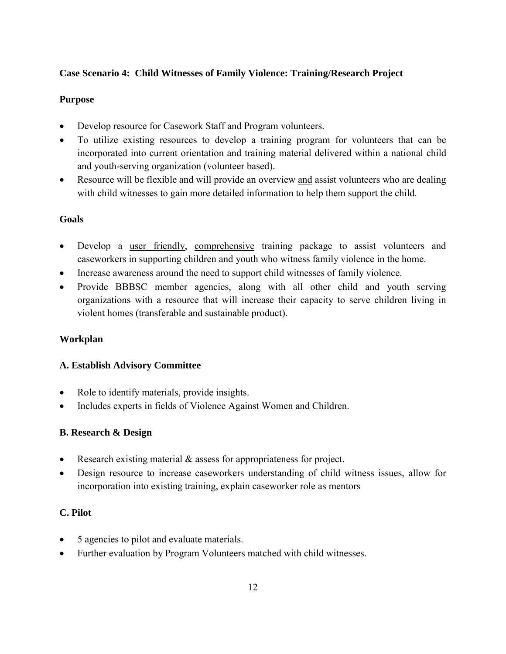#### **Case Scenario 4: Child Witnesses of Family Violence: Training/Research Project**

#### **Purpose**

- Develop resource for Casework Staff and Program volunteers.
- To utilize existing resources to develop a training program for volunteers that can be incorporated into current orientation and training material delivered within a national child and youth-serving organization (volunteer based).
- Resource will be flexible and will provide an overview and assist volunteers who are dealing with child witnesses to gain more detailed information to help them support the child.

#### **Goals**

- Develop a user friendly, comprehensive training package to assist volunteers and caseworkers in supporting children and youth who witness family violence in the home.
- Increase awareness around the need to support child witnesses of family violence.
- Provide BBBSC member agencies, along with all other child and youth serving organizations with a resource that will increase their capacity to serve children living in violent homes (transferable and sustainable product).

#### **Workplan**

#### **A. Establish Advisory Committee**

- Role to identify materials, provide insights.
- Includes experts in fields of Violence Against Women and Children.

#### **B. Research & Design**

- Research existing material  $\&$  assess for appropriateness for project.
- Design resource to increase caseworkers understanding of child witness issues, allow for incorporation into existing training, explain caseworker role as mentors

#### **C. Pilot**

- 5 agencies to pilot and evaluate materials.
- Further evaluation by Program Volunteers matched with child witnesses.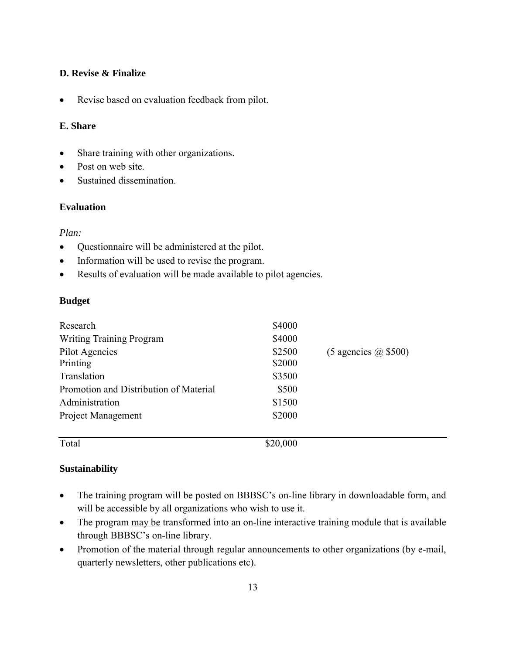#### **D. Revise & Finalize**

• Revise based on evaluation feedback from pilot.

#### **E. Share**

- Share training with other organizations.
- Post on web site.
- Sustained dissemination.

#### **Evaluation**

#### *Plan:*

- Questionnaire will be administered at the pilot.
- Information will be used to revise the program.
- Results of evaluation will be made available to pilot agencies.

#### **Budget**

| Research                               | \$4000   |                            |
|----------------------------------------|----------|----------------------------|
| <b>Writing Training Program</b>        | \$4000   |                            |
| Pilot Agencies                         | \$2500   | $(5$ agencies $(a)$ \$500) |
| Printing                               | \$2000   |                            |
| Translation                            | \$3500   |                            |
| Promotion and Distribution of Material | \$500    |                            |
| Administration                         | \$1500   |                            |
| <b>Project Management</b>              | \$2000   |                            |
| Total                                  | \$20,000 |                            |

#### **Sustainability**

- The training program will be posted on BBBSC's on-line library in downloadable form, and will be accessible by all organizations who wish to use it.
- The program may be transformed into an on-line interactive training module that is available through BBBSC's on-line library.
- Promotion of the material through regular announcements to other organizations (by e-mail, quarterly newsletters, other publications etc).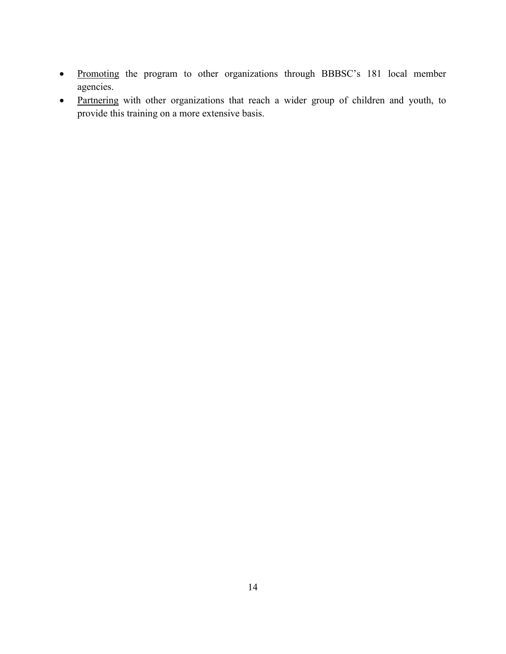- Promoting the program to other organizations through BBBSC's 181 local member agencies.
- Partnering with other organizations that reach a wider group of children and youth, to provide this training on a more extensive basis.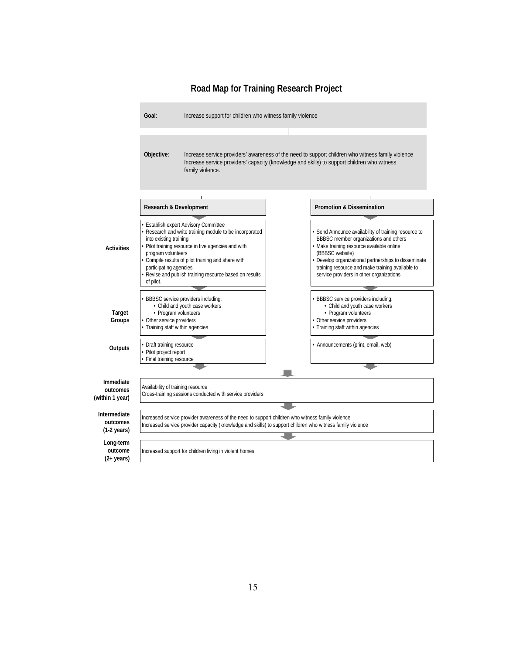

#### **Road Map for Training Research Project**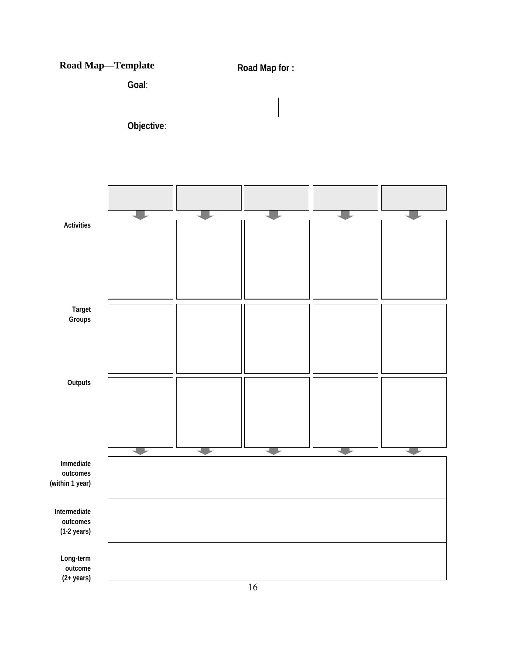# **Road Map—Template** *Road Map for :*

**Goal**:

**Objective**:

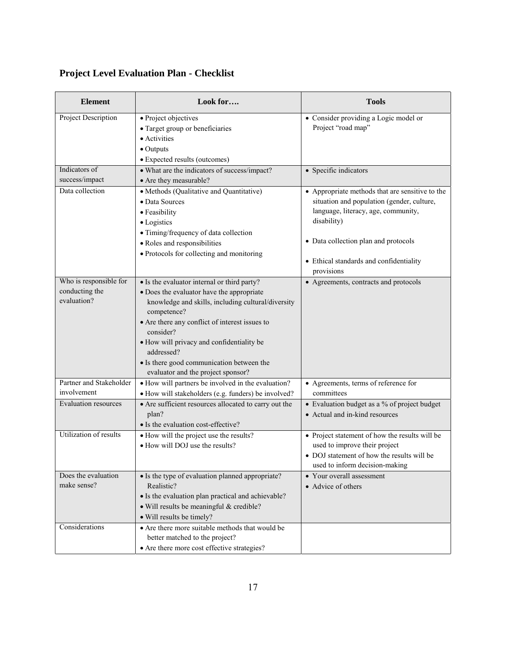# **Project Level Evaluation Plan - Checklist**

| <b>Element</b>                                          | Look for                                                                                                                                                                                                                                                                                                                                                                   | <b>Tools</b>                                                                                                                                                                                                                                         |
|---------------------------------------------------------|----------------------------------------------------------------------------------------------------------------------------------------------------------------------------------------------------------------------------------------------------------------------------------------------------------------------------------------------------------------------------|------------------------------------------------------------------------------------------------------------------------------------------------------------------------------------------------------------------------------------------------------|
| Project Description                                     | • Project objectives<br>• Target group or beneficiaries<br>• Activities<br>$\bullet$ Outputs<br>• Expected results (outcomes)                                                                                                                                                                                                                                              | • Consider providing a Logic model or<br>Project "road map"                                                                                                                                                                                          |
| Indicators of<br>success/impact                         | • What are the indicators of success/impact?<br>• Are they measurable?                                                                                                                                                                                                                                                                                                     | • Specific indicators                                                                                                                                                                                                                                |
| Data collection                                         | • Methods (Qualitative and Quantitative)<br>• Data Sources<br>• Feasibility<br>• Logistics<br>• Timing/frequency of data collection<br>• Roles and responsibilities<br>• Protocols for collecting and monitoring                                                                                                                                                           | • Appropriate methods that are sensitive to the<br>situation and population (gender, culture,<br>language, literacy, age, community,<br>disability)<br>• Data collection plan and protocols<br>• Ethical standards and confidentiality<br>provisions |
| Who is responsible for<br>conducting the<br>evaluation? | • Is the evaluator internal or third party?<br>• Does the evaluator have the appropriate<br>knowledge and skills, including cultural/diversity<br>competence?<br>• Are there any conflict of interest issues to<br>consider?<br>• How will privacy and confidentiality be<br>addressed?<br>• Is there good communication between the<br>evaluator and the project sponsor? | • Agreements, contracts and protocols                                                                                                                                                                                                                |
| Partner and Stakeholder<br>involvement                  | • How will partners be involved in the evaluation?<br>• How will stakeholders (e.g. funders) be involved?                                                                                                                                                                                                                                                                  | • Agreements, terms of reference for<br>committees                                                                                                                                                                                                   |
| <b>Evaluation resources</b>                             | • Are sufficient resources allocated to carry out the<br>plan?<br>• Is the evaluation cost-effective?                                                                                                                                                                                                                                                                      | • Evaluation budget as a % of project budget<br>• Actual and in-kind resources                                                                                                                                                                       |
| Utilization of results                                  | • How will the project use the results?<br>• How will DOJ use the results?                                                                                                                                                                                                                                                                                                 | • Project statement of how the results will be<br>used to improve their project<br>• DOJ statement of how the results will be<br>used to inform decision-making                                                                                      |
| Does the evaluation<br>make sense?                      | • Is the type of evaluation planned appropriate?<br>Realistic?<br>• Is the evaluation plan practical and achievable?<br>· Will results be meaningful & credible?<br>· Will results be timely?                                                                                                                                                                              | • Your overall assessment<br>• Advice of others                                                                                                                                                                                                      |
| Considerations                                          | • Are there more suitable methods that would be<br>better matched to the project?<br>• Are there more cost effective strategies?                                                                                                                                                                                                                                           |                                                                                                                                                                                                                                                      |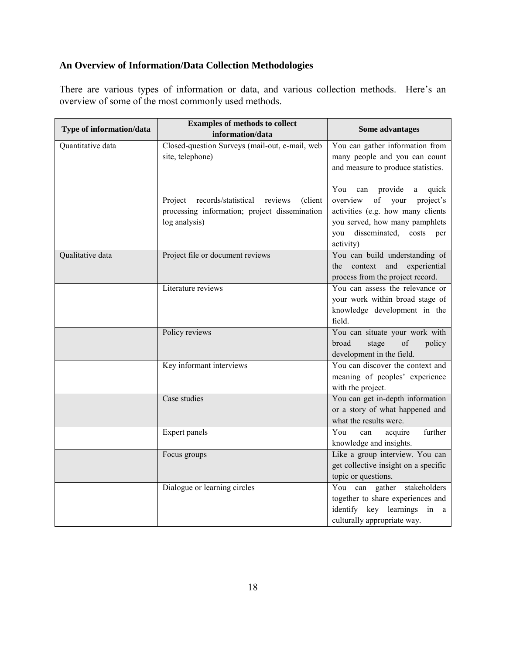## **An Overview of Information/Data Collection Methodologies**

There are various types of information or data, and various collection methods. Here's an overview of some of the most commonly used methods.

| Type of information/data | <b>Examples of methods to collect</b><br>information/data                                                           | Some advantages                                                                                                                                                                                  |
|--------------------------|---------------------------------------------------------------------------------------------------------------------|--------------------------------------------------------------------------------------------------------------------------------------------------------------------------------------------------|
| Quantitative data        | Closed-question Surveys (mail-out, e-mail, web<br>site, telephone)                                                  | You can gather information from<br>many people and you can count<br>and measure to produce statistics.                                                                                           |
|                          | records/statistical reviews<br>(client<br>Project<br>processing information; project dissemination<br>log analysis) | You<br>can provide<br>quick<br>a<br>project's<br>overview<br>of<br>your<br>activities (e.g. how many clients<br>you served, how many pamphlets<br>disseminated, costs<br>you<br>per<br>activity) |
| Qualitative data         | Project file or document reviews                                                                                    | You can build understanding of<br>context and<br>experiential<br>the<br>process from the project record.                                                                                         |
|                          | Literature reviews                                                                                                  | You can assess the relevance or<br>your work within broad stage of<br>knowledge development in the<br>field.                                                                                     |
|                          | Policy reviews                                                                                                      | You can situate your work with<br>broad<br>stage<br>of<br>policy<br>development in the field.                                                                                                    |
|                          | Key informant interviews                                                                                            | You can discover the context and<br>meaning of peoples' experience<br>with the project.                                                                                                          |
|                          | Case studies                                                                                                        | You can get in-depth information<br>or a story of what happened and<br>what the results were.                                                                                                    |
|                          | <b>Expert panels</b>                                                                                                | You<br>further<br>acquire<br>can<br>knowledge and insights.                                                                                                                                      |
|                          | Focus groups                                                                                                        | Like a group interview. You can<br>get collective insight on a specific<br>topic or questions.                                                                                                   |
|                          | Dialogue or learning circles                                                                                        | You can gather stakeholders<br>together to share experiences and<br>identify key learnings in a<br>culturally appropriate way.                                                                   |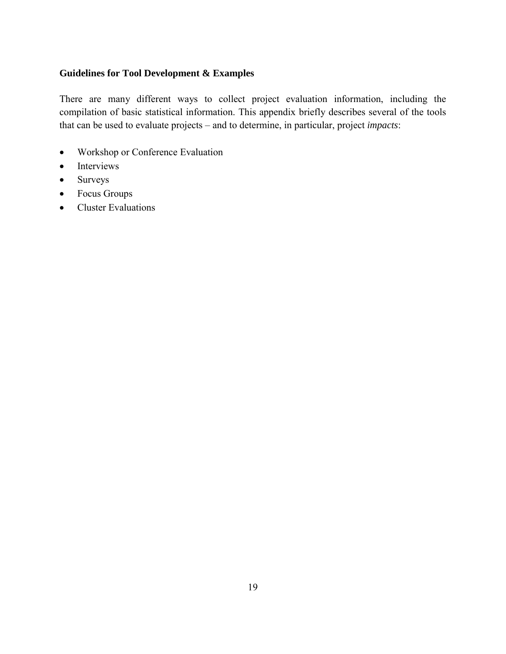#### **Guidelines for Tool Development & Examples**

There are many different ways to collect project evaluation information, including the compilation of basic statistical information. This appendix briefly describes several of the tools that can be used to evaluate projects – and to determine, in particular, project *impacts*:

- Workshop or Conference Evaluation
- Interviews
- Surveys
- Focus Groups
- Cluster Evaluations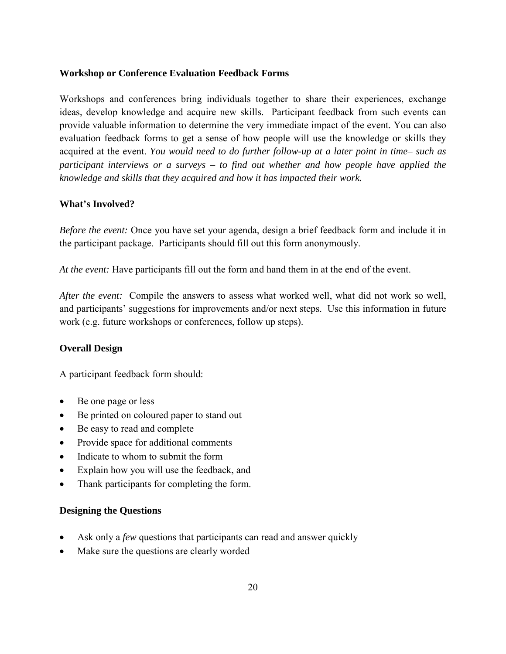#### **Workshop or Conference Evaluation Feedback Forms**

Workshops and conferences bring individuals together to share their experiences, exchange ideas, develop knowledge and acquire new skills. Participant feedback from such events can provide valuable information to determine the very immediate impact of the event. You can also evaluation feedback forms to get a sense of how people will use the knowledge or skills they acquired at the event. *You would need to do further follow-up at a later point in time– such as participant interviews or a surveys – to find out whether and how people have applied the knowledge and skills that they acquired and how it has impacted their work.* 

#### **What's Involved?**

*Before the event:* Once you have set your agenda, design a brief feedback form and include it in the participant package. Participants should fill out this form anonymously.

*At the event:* Have participants fill out the form and hand them in at the end of the event.

*After the event:* Compile the answers to assess what worked well, what did not work so well, and participants' suggestions for improvements and/or next steps. Use this information in future work (e.g. future workshops or conferences, follow up steps).

#### **Overall Design**

A participant feedback form should:

- Be one page or less
- Be printed on coloured paper to stand out
- Be easy to read and complete
- Provide space for additional comments
- Indicate to whom to submit the form
- Explain how you will use the feedback, and
- Thank participants for completing the form.

#### **Designing the Questions**

- Ask only a *few* questions that participants can read and answer quickly
- Make sure the questions are clearly worded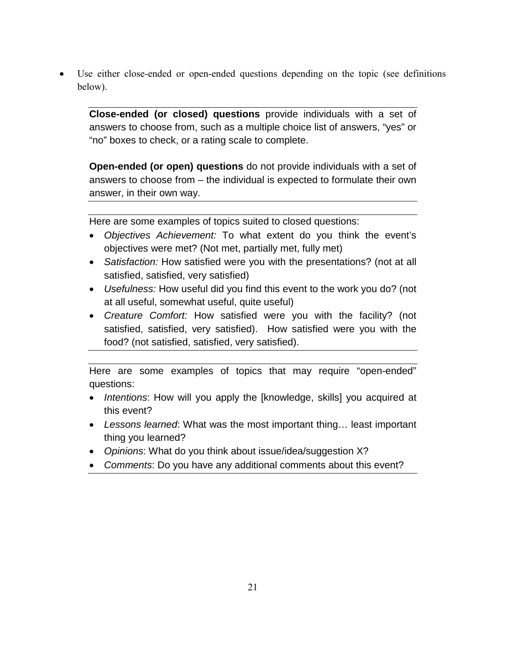Use either close-ended or open-ended questions depending on the topic (see definitions below).

**Close-ended (or closed) questions** provide individuals with a set of answers to choose from, such as a multiple choice list of answers, "yes" or "no" boxes to check, or a rating scale to complete.

**Open-ended (or open) questions** do not provide individuals with a set of answers to choose from – the individual is expected to formulate their own answer, in their own way.

Here are some examples of topics suited to closed questions:

- *Objectives Achievement:* To what extent do you think the event's objectives were met? (Not met, partially met, fully met)
- *Satisfaction:* How satisfied were you with the presentations? (not at all satisfied, satisfied, very satisfied)
- *Usefulness:* How useful did you find this event to the work you do? (not at all useful, somewhat useful, quite useful)
- *Creature Comfort:* How satisfied were you with the facility? (not satisfied, satisfied, very satisfied). How satisfied were you with the food? (not satisfied, satisfied, very satisfied).

Here are some examples of topics that may require "open-ended" questions:

- *Intentions*: How will you apply the [knowledge, skills] you acquired at this event?
- *Lessons learned*: What was the most important thing… least important thing you learned?
- *Opinions*: What do you think about issue/idea/suggestion X?
- *Comments*: Do you have any additional comments about this event?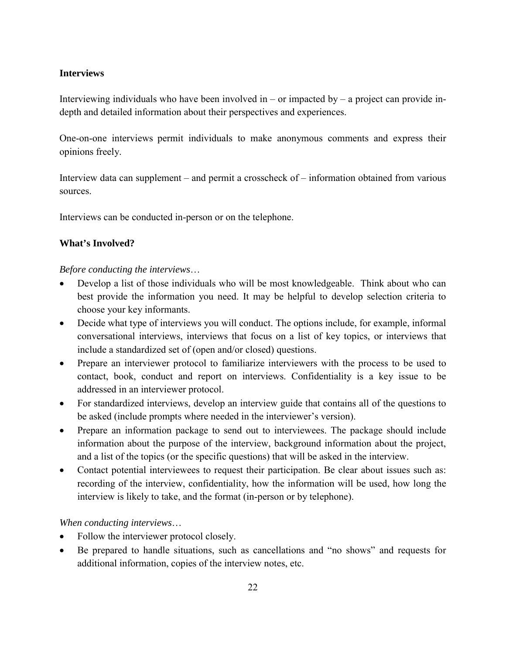#### **Interviews**

Interviewing individuals who have been involved in – or impacted by – a project can provide indepth and detailed information about their perspectives and experiences.

One-on-one interviews permit individuals to make anonymous comments and express their opinions freely.

Interview data can supplement – and permit a crosscheck of – information obtained from various sources.

Interviews can be conducted in-person or on the telephone.

#### **What's Involved?**

#### *Before conducting the interviews*…

- Develop a list of those individuals who will be most knowledgeable. Think about who can best provide the information you need. It may be helpful to develop selection criteria to choose your key informants.
- Decide what type of interviews you will conduct. The options include, for example, informal conversational interviews, interviews that focus on a list of key topics, or interviews that include a standardized set of (open and/or closed) questions.
- Prepare an interviewer protocol to familiarize interviewers with the process to be used to contact, book, conduct and report on interviews. Confidentiality is a key issue to be addressed in an interviewer protocol.
- For standardized interviews, develop an interview guide that contains all of the questions to be asked (include prompts where needed in the interviewer's version).
- Prepare an information package to send out to interviewees. The package should include information about the purpose of the interview, background information about the project, and a list of the topics (or the specific questions) that will be asked in the interview.
- Contact potential interviewees to request their participation. Be clear about issues such as: recording of the interview, confidentiality, how the information will be used, how long the interview is likely to take, and the format (in-person or by telephone).

#### *When conducting interviews*…

- Follow the interviewer protocol closely.
- Be prepared to handle situations, such as cancellations and "no shows" and requests for additional information, copies of the interview notes, etc.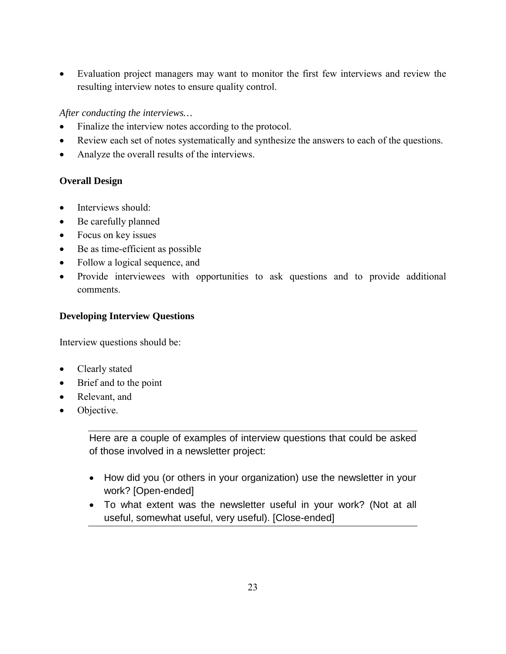• Evaluation project managers may want to monitor the first few interviews and review the resulting interview notes to ensure quality control.

#### *After conducting the interviews…*

- Finalize the interview notes according to the protocol.
- Review each set of notes systematically and synthesize the answers to each of the questions.
- Analyze the overall results of the interviews.

#### **Overall Design**

- Interviews should:
- Be carefully planned
- Focus on key issues
- Be as time-efficient as possible
- Follow a logical sequence, and
- Provide interviewees with opportunities to ask questions and to provide additional comments.

#### **Developing Interview Questions**

Interview questions should be:

- Clearly stated
- Brief and to the point
- Relevant, and
- Objective.

Here are a couple of examples of interview questions that could be asked of those involved in a newsletter project:

- How did you (or others in your organization) use the newsletter in your work? [Open-ended]
- To what extent was the newsletter useful in your work? (Not at all useful, somewhat useful, very useful). [Close-ended]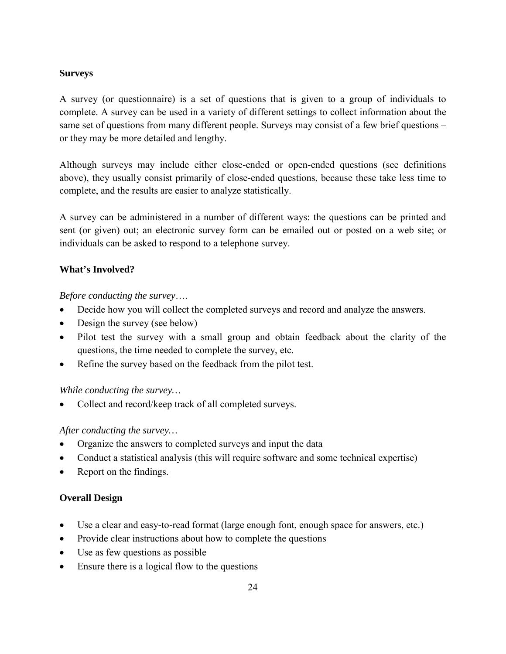#### **Surveys**

A survey (or questionnaire) is a set of questions that is given to a group of individuals to complete. A survey can be used in a variety of different settings to collect information about the same set of questions from many different people. Surveys may consist of a few brief questions – or they may be more detailed and lengthy.

Although surveys may include either close-ended or open-ended questions (see definitions above), they usually consist primarily of close-ended questions, because these take less time to complete, and the results are easier to analyze statistically.

A survey can be administered in a number of different ways: the questions can be printed and sent (or given) out; an electronic survey form can be emailed out or posted on a web site; or individuals can be asked to respond to a telephone survey.

#### **What's Involved?**

*Before conducting the survey*….

- Decide how you will collect the completed surveys and record and analyze the answers.
- Design the survey (see below)
- Pilot test the survey with a small group and obtain feedback about the clarity of the questions, the time needed to complete the survey, etc.
- Refine the survey based on the feedback from the pilot test.

#### *While conducting the survey…*

• Collect and record/keep track of all completed surveys.

#### *After conducting the survey…*

- Organize the answers to completed surveys and input the data
- Conduct a statistical analysis (this will require software and some technical expertise)
- Report on the findings.

#### **Overall Design**

- Use a clear and easy-to-read format (large enough font, enough space for answers, etc.)
- Provide clear instructions about how to complete the questions
- Use as few questions as possible
- Ensure there is a logical flow to the questions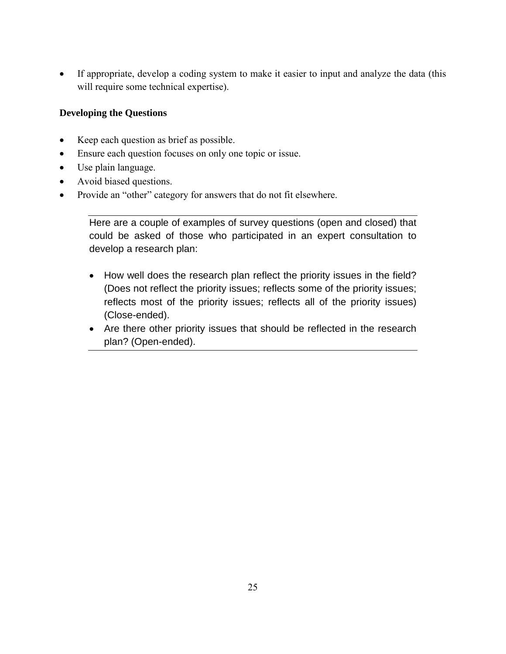• If appropriate, develop a coding system to make it easier to input and analyze the data (this will require some technical expertise).

#### **Developing the Questions**

- Keep each question as brief as possible.
- Ensure each question focuses on only one topic or issue.
- Use plain language.
- Avoid biased questions.
- Provide an "other" category for answers that do not fit elsewhere.

Here are a couple of examples of survey questions (open and closed) that could be asked of those who participated in an expert consultation to develop a research plan:

- How well does the research plan reflect the priority issues in the field? (Does not reflect the priority issues; reflects some of the priority issues; reflects most of the priority issues; reflects all of the priority issues) (Close-ended).
- Are there other priority issues that should be reflected in the research plan? (Open-ended).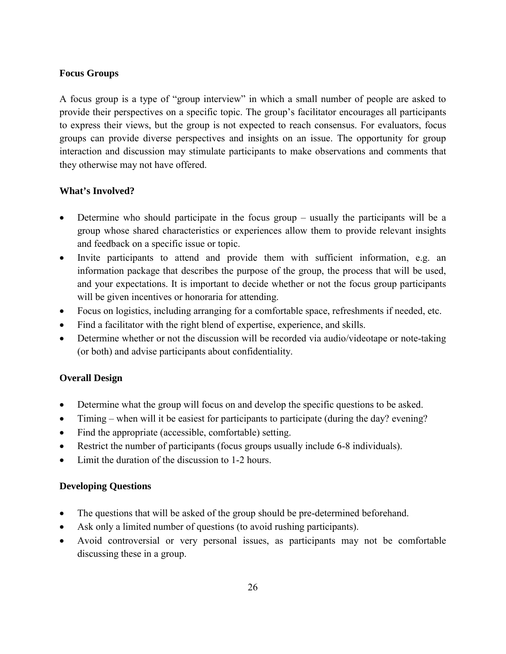#### **Focus Groups**

A focus group is a type of "group interview" in which a small number of people are asked to provide their perspectives on a specific topic. The group's facilitator encourages all participants to express their views, but the group is not expected to reach consensus. For evaluators, focus groups can provide diverse perspectives and insights on an issue. The opportunity for group interaction and discussion may stimulate participants to make observations and comments that they otherwise may not have offered.

#### **What's Involved?**

- Determine who should participate in the focus group usually the participants will be a group whose shared characteristics or experiences allow them to provide relevant insights and feedback on a specific issue or topic.
- Invite participants to attend and provide them with sufficient information, e.g. an information package that describes the purpose of the group, the process that will be used, and your expectations. It is important to decide whether or not the focus group participants will be given incentives or honoraria for attending.
- Focus on logistics, including arranging for a comfortable space, refreshments if needed, etc.
- Find a facilitator with the right blend of expertise, experience, and skills.
- Determine whether or not the discussion will be recorded via audio/videotape or note-taking (or both) and advise participants about confidentiality.

#### **Overall Design**

- Determine what the group will focus on and develop the specific questions to be asked.
- Timing when will it be easiest for participants to participate (during the day? evening?
- Find the appropriate (accessible, comfortable) setting.
- Restrict the number of participants (focus groups usually include 6-8 individuals).
- Limit the duration of the discussion to 1-2 hours.

#### **Developing Questions**

- The questions that will be asked of the group should be pre-determined beforehand.
- Ask only a limited number of questions (to avoid rushing participants).
- Avoid controversial or very personal issues, as participants may not be comfortable discussing these in a group.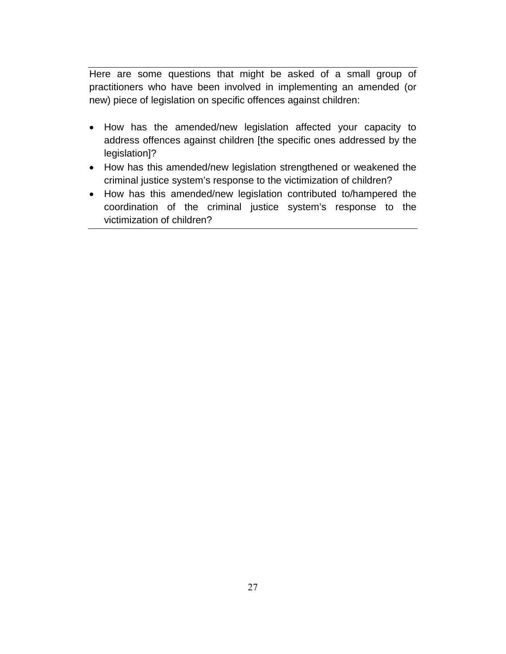Here are some questions that might be asked of a small group of practitioners who have been involved in implementing an amended (or new) piece of legislation on specific offences against children:

- How has the amended/new legislation affected your capacity to address offences against children [the specific ones addressed by the legislation]?
- How has this amended/new legislation strengthened or weakened the criminal justice system's response to the victimization of children?
- How has this amended/new legislation contributed to/hampered the coordination of the criminal justice system's response to the victimization of children?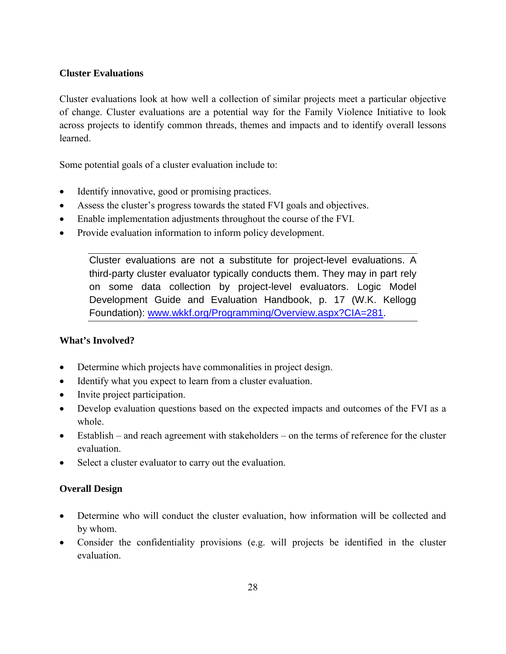#### **Cluster Evaluations**

Cluster evaluations look at how well a collection of similar projects meet a particular objective of change. Cluster evaluations are a potential way for the Family Violence Initiative to look across projects to identify common threads, themes and impacts and to identify overall lessons learned.

Some potential goals of a cluster evaluation include to:

- Identify innovative, good or promising practices.
- Assess the cluster's progress towards the stated FVI goals and objectives.
- Enable implementation adjustments throughout the course of the FVI.
- Provide evaluation information to inform policy development.

Cluster evaluations are not a substitute for project-level evaluations. A third-party cluster evaluator typically conducts them. They may in part rely on some data collection by project-level evaluators. Logic Model Development Guide and Evaluation Handbook, p. 17 (W.K. Kellogg Foundation): www.wkkf.org/Programming/Overview.aspx?CIA=281.

#### **What's Involved?**

- Determine which projects have commonalities in project design.
- Identify what you expect to learn from a cluster evaluation.
- Invite project participation.
- Develop evaluation questions based on the expected impacts and outcomes of the FVI as a whole.
- Establish and reach agreement with stakeholders on the terms of reference for the cluster evaluation.
- Select a cluster evaluator to carry out the evaluation.

#### **Overall Design**

- Determine who will conduct the cluster evaluation, how information will be collected and by whom.
- Consider the confidentiality provisions (e.g. will projects be identified in the cluster evaluation.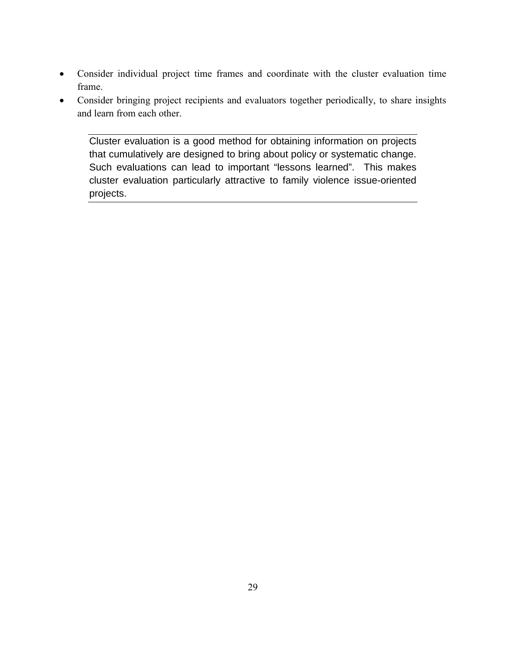- Consider individual project time frames and coordinate with the cluster evaluation time frame.
- Consider bringing project recipients and evaluators together periodically, to share insights and learn from each other.

Cluster evaluation is a good method for obtaining information on projects that cumulatively are designed to bring about policy or systematic change. Such evaluations can lead to important "lessons learned". This makes cluster evaluation particularly attractive to family violence issue-oriented projects.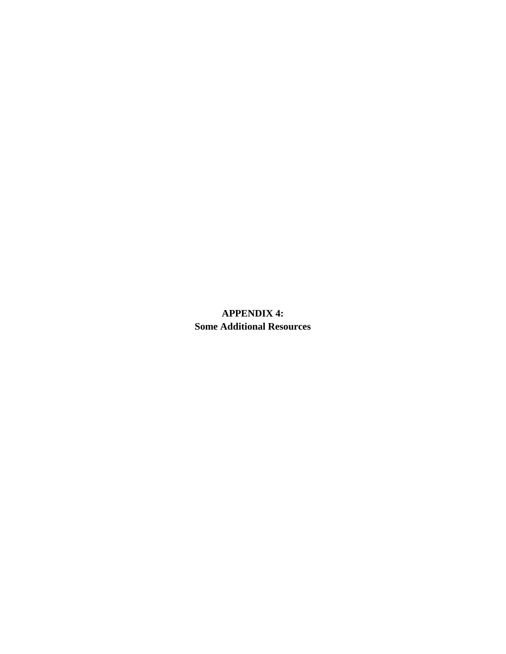**APPENDIX 4: Some Additional Resources**